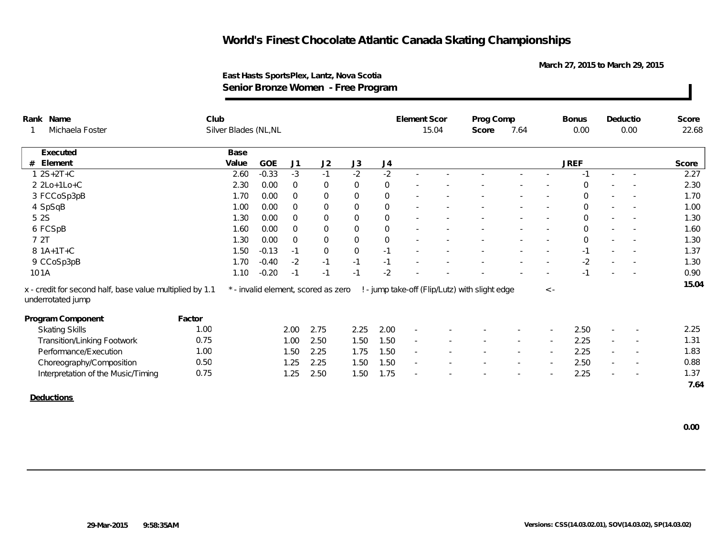**March 27, 2015 to March 29, 2015**

| 15.04<br>Silver Blades (NL, NL<br>7.64<br>0.00<br>0.00<br>Michaela Foster<br>Score<br>Base<br>Executed<br><b>GOE</b><br><b>JREF</b><br>J <sub>1</sub><br>J2<br>J3<br>J <sub>4</sub><br>Element<br>Value<br>#<br>$-2$<br>$-2$<br>$-3$<br>$-1$<br>$12S+2T+C$<br>$-0.33$<br>2.60<br>$-1$<br>×.<br>$\sim$<br>0<br>$\overline{0}$<br>2 2Lo+1Lo+C<br>2.30<br>0.00<br>$\mathbf 0$<br>$\Omega$<br>0<br>$\sim$<br>3 FCCoSp3pB<br>0<br>$\overline{0}$<br>1.70<br>0.00<br>$\Omega$<br>$\mathbf{0}$<br>0<br>$\overline{\phantom{a}}$<br>4 SpSqB<br>1.00<br>0.00<br>$\mathbf 0$<br>0<br>$\overline{0}$<br>$\mathbf 0$<br>0<br>$\overline{\phantom{a}}$<br>$\overline{\phantom{a}}$<br>$\sim$<br>5 2 S<br>0<br>0.00<br>$\mathbf 0$<br>0<br>1.30<br>$\Omega$<br>$\Omega$<br>$\mathbf 0$<br>6 FCSpB<br>$\overline{0}$<br>$\overline{0}$<br>1.60<br>0.00<br>$\mathbf{0}$<br>$\Omega$<br>$\overline{\phantom{a}}$<br>$\overline{\phantom{a}}$<br>7 2T<br>$\boldsymbol{0}$<br>$\mathbf 0$<br>1.30<br>0.00<br>$\overline{0}$<br>$\Omega$<br>$\Omega$<br>8 1A+1T+C<br>0<br>1.50<br>$-0.13$<br>$\mathbf 0$<br>$-1$<br>$-1$<br>$-1$<br>$\overline{\phantom{a}}$<br>$\overline{\phantom{a}}$<br>$-2$<br>9 CCoSp3pB<br>$-0.40$<br>$-2$<br>$-1$<br>$-1$<br>$-1$<br>1.70<br>$\overline{\phantom{a}}$<br>$\overline{\phantom{a}}$<br>$-2$<br>101A<br>$-0.20$<br>$-1$<br>1.10<br>$-1$<br>$-1$<br>! - jump take-off (Flip/Lutz) with slight edge<br>x - credit for second half, base value multiplied by 1.1<br>* - invalid element, scored as zero<br>$\langle -$<br>underrotated jump<br>Program Component<br>Factor |              |
|------------------------------------------------------------------------------------------------------------------------------------------------------------------------------------------------------------------------------------------------------------------------------------------------------------------------------------------------------------------------------------------------------------------------------------------------------------------------------------------------------------------------------------------------------------------------------------------------------------------------------------------------------------------------------------------------------------------------------------------------------------------------------------------------------------------------------------------------------------------------------------------------------------------------------------------------------------------------------------------------------------------------------------------------------------------------------------------------------------------------------------------------------------------------------------------------------------------------------------------------------------------------------------------------------------------------------------------------------------------------------------------------------------------------------------------------------------------------------------------------------------------------------------------------------------------------------------------|--------------|
|                                                                                                                                                                                                                                                                                                                                                                                                                                                                                                                                                                                                                                                                                                                                                                                                                                                                                                                                                                                                                                                                                                                                                                                                                                                                                                                                                                                                                                                                                                                                                                                          | 22.68        |
|                                                                                                                                                                                                                                                                                                                                                                                                                                                                                                                                                                                                                                                                                                                                                                                                                                                                                                                                                                                                                                                                                                                                                                                                                                                                                                                                                                                                                                                                                                                                                                                          |              |
|                                                                                                                                                                                                                                                                                                                                                                                                                                                                                                                                                                                                                                                                                                                                                                                                                                                                                                                                                                                                                                                                                                                                                                                                                                                                                                                                                                                                                                                                                                                                                                                          | Score        |
|                                                                                                                                                                                                                                                                                                                                                                                                                                                                                                                                                                                                                                                                                                                                                                                                                                                                                                                                                                                                                                                                                                                                                                                                                                                                                                                                                                                                                                                                                                                                                                                          | 2.27         |
|                                                                                                                                                                                                                                                                                                                                                                                                                                                                                                                                                                                                                                                                                                                                                                                                                                                                                                                                                                                                                                                                                                                                                                                                                                                                                                                                                                                                                                                                                                                                                                                          | 2.30         |
|                                                                                                                                                                                                                                                                                                                                                                                                                                                                                                                                                                                                                                                                                                                                                                                                                                                                                                                                                                                                                                                                                                                                                                                                                                                                                                                                                                                                                                                                                                                                                                                          | 1.70         |
|                                                                                                                                                                                                                                                                                                                                                                                                                                                                                                                                                                                                                                                                                                                                                                                                                                                                                                                                                                                                                                                                                                                                                                                                                                                                                                                                                                                                                                                                                                                                                                                          | 1.00         |
|                                                                                                                                                                                                                                                                                                                                                                                                                                                                                                                                                                                                                                                                                                                                                                                                                                                                                                                                                                                                                                                                                                                                                                                                                                                                                                                                                                                                                                                                                                                                                                                          | 1.30         |
|                                                                                                                                                                                                                                                                                                                                                                                                                                                                                                                                                                                                                                                                                                                                                                                                                                                                                                                                                                                                                                                                                                                                                                                                                                                                                                                                                                                                                                                                                                                                                                                          | 1.60         |
|                                                                                                                                                                                                                                                                                                                                                                                                                                                                                                                                                                                                                                                                                                                                                                                                                                                                                                                                                                                                                                                                                                                                                                                                                                                                                                                                                                                                                                                                                                                                                                                          | 1.30         |
|                                                                                                                                                                                                                                                                                                                                                                                                                                                                                                                                                                                                                                                                                                                                                                                                                                                                                                                                                                                                                                                                                                                                                                                                                                                                                                                                                                                                                                                                                                                                                                                          | 1.37         |
|                                                                                                                                                                                                                                                                                                                                                                                                                                                                                                                                                                                                                                                                                                                                                                                                                                                                                                                                                                                                                                                                                                                                                                                                                                                                                                                                                                                                                                                                                                                                                                                          | 1.30         |
|                                                                                                                                                                                                                                                                                                                                                                                                                                                                                                                                                                                                                                                                                                                                                                                                                                                                                                                                                                                                                                                                                                                                                                                                                                                                                                                                                                                                                                                                                                                                                                                          | 0.90         |
|                                                                                                                                                                                                                                                                                                                                                                                                                                                                                                                                                                                                                                                                                                                                                                                                                                                                                                                                                                                                                                                                                                                                                                                                                                                                                                                                                                                                                                                                                                                                                                                          | 15.04        |
|                                                                                                                                                                                                                                                                                                                                                                                                                                                                                                                                                                                                                                                                                                                                                                                                                                                                                                                                                                                                                                                                                                                                                                                                                                                                                                                                                                                                                                                                                                                                                                                          |              |
| 2.00<br>2.75<br>2.25<br>2.50<br><b>Skating Skills</b><br>1.00<br>2.00<br>$\sim$<br>$\overline{\phantom{a}}$                                                                                                                                                                                                                                                                                                                                                                                                                                                                                                                                                                                                                                                                                                                                                                                                                                                                                                                                                                                                                                                                                                                                                                                                                                                                                                                                                                                                                                                                              | 2.25         |
| 2.25<br><b>Transition/Linking Footwork</b><br>0.75<br>2.50<br>1.50<br>1.00<br>1.50<br>$\sim$<br>$\overline{\phantom{a}}$<br>$\sim$<br>$\sim$<br>$\overline{\phantom{a}}$                                                                                                                                                                                                                                                                                                                                                                                                                                                                                                                                                                                                                                                                                                                                                                                                                                                                                                                                                                                                                                                                                                                                                                                                                                                                                                                                                                                                                 | 1.31         |
| Performance/Execution<br>2.25<br>1.00<br>2.25<br>1.75<br>1.50<br>1.50<br>$\sim$<br>$\overline{\phantom{a}}$<br>$\overline{\phantom{a}}$<br>$\overline{\phantom{a}}$                                                                                                                                                                                                                                                                                                                                                                                                                                                                                                                                                                                                                                                                                                                                                                                                                                                                                                                                                                                                                                                                                                                                                                                                                                                                                                                                                                                                                      | 1.83         |
| Choreography/Composition<br>0.50<br>2.25<br>1.50<br>2.50<br>1.25<br>1.50<br>$\sim$<br>$\overline{\phantom{a}}$                                                                                                                                                                                                                                                                                                                                                                                                                                                                                                                                                                                                                                                                                                                                                                                                                                                                                                                                                                                                                                                                                                                                                                                                                                                                                                                                                                                                                                                                           | 0.88         |
| 0.75<br>2.25<br>1.25<br>2.50<br>1.50<br>1.75<br>Interpretation of the Music/Timing<br>$\sim$<br>٠<br>$\overline{\phantom{a}}$                                                                                                                                                                                                                                                                                                                                                                                                                                                                                                                                                                                                                                                                                                                                                                                                                                                                                                                                                                                                                                                                                                                                                                                                                                                                                                                                                                                                                                                            | 1.37<br>7.64 |

#### **East Hasts SportsPlex, Lantz, Nova Scotia Senior Bronze Women - Free Program**

**Deductions**

 $\blacksquare$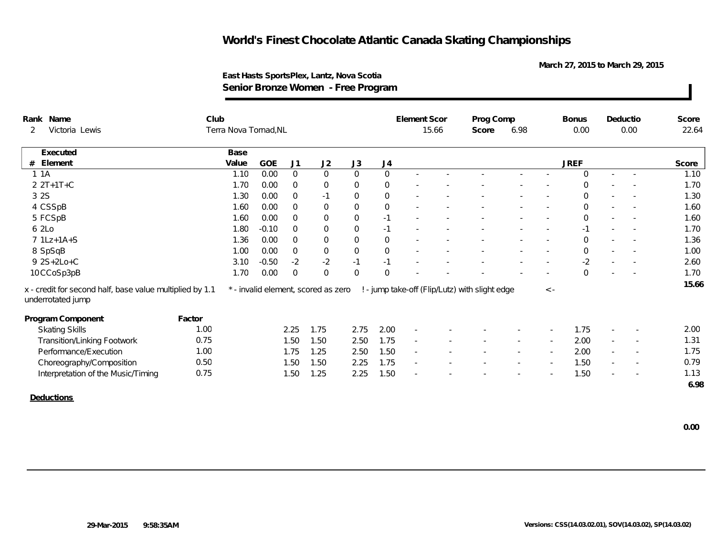**March 27, 2015 to March 29, 2015**

| Rank Name                                                                     | Club   |                       |         |                |                                     |                |                  | Element Scor             |       | Prog Comp                                      |        |                          | <b>Bonus</b> |                          | Deductio                 | Score |
|-------------------------------------------------------------------------------|--------|-----------------------|---------|----------------|-------------------------------------|----------------|------------------|--------------------------|-------|------------------------------------------------|--------|--------------------------|--------------|--------------------------|--------------------------|-------|
| Victoria Lewis<br>2                                                           |        | Terra Nova Tornad, NL |         |                |                                     |                |                  |                          | 15.66 | Score                                          | 6.98   |                          | 0.00         |                          | 0.00                     | 22.64 |
| Executed                                                                      |        | Base                  |         |                |                                     |                |                  |                          |       |                                                |        |                          |              |                          |                          |       |
| Element<br>#                                                                  |        | Value                 | GOE     | J1             | J2                                  | J3             | J4               |                          |       |                                                |        |                          | <b>JREF</b>  |                          |                          | Score |
| 1.1A                                                                          |        | 1.10                  | 0.00    | $\overline{0}$ | $\overline{0}$                      | $\overline{0}$ | $\mathbf 0$      |                          |       |                                                |        |                          | $\Omega$     | $\sim$                   | $\sim$                   | 1.10  |
| $2 2T+1T+C$                                                                   |        | 1.70                  | 0.00    | $\mathbf 0$    | $\overline{0}$                      | $\overline{0}$ | $\overline{0}$   |                          |       |                                                |        |                          | $\Omega$     |                          |                          | 1.70  |
| 3 2 S                                                                         |        | 1.30                  | 0.00    | $\overline{0}$ | $-1$                                | $\mathbf 0$    | $\boldsymbol{0}$ |                          |       |                                                |        |                          | $\mathbf 0$  | $\sim$                   |                          | 1.30  |
| 4 CSSpB                                                                       |        | 1.60                  | 0.00    | $\overline{0}$ | $\mathsf{O}\xspace$                 | $\mathbf 0$    | $\mathbf 0$      |                          |       |                                                |        |                          | $\mathbf 0$  |                          |                          | 1.60  |
| 5 FCSpB                                                                       |        | 1.60                  | 0.00    | $\mathbf 0$    | $\mathbf 0$                         | $\mathbf 0$    | $-1$             |                          |       |                                                |        |                          | $\mathbf 0$  | $\sim$                   |                          | 1.60  |
| 6 2Lo                                                                         |        | 1.80                  | $-0.10$ | $\Omega$       | $\mathbf 0$                         | $\mathbf 0$    | $-1$             |                          |       |                                                |        |                          | $-1$         |                          | $\sim$                   | 1.70  |
| 7 1Lz+1A+S                                                                    |        | 1.36                  | 0.00    | $\Omega$       | $\mathbf 0$                         | $\mathbf 0$    | $\mathbf 0$      |                          |       |                                                |        |                          | $\Omega$     |                          |                          | 1.36  |
| 8 SpSqB                                                                       |        | 1.00                  | 0.00    | $\overline{0}$ | $\mathsf{O}\xspace$                 | $\mathbf 0$    | $\mathbf{0}$     |                          |       |                                                |        |                          | $\mathbf 0$  | $\sim$                   |                          | 1.00  |
| 9 2S+2Lo+C                                                                    |        | 3.10                  | $-0.50$ | $-2$           | $-2$                                | $-1$           | $-1$             |                          |       |                                                |        |                          | $-2$         |                          |                          | 2.60  |
| 10 CCoSp3pB                                                                   |        | 1.70                  | 0.00    | $\overline{0}$ | $\overline{0}$                      | $\mathbf 0$    | $\Omega$         |                          |       |                                                |        |                          | $\Omega$     | $\sim$                   |                          | 1.70  |
| x - credit for second half, base value multiplied by 1.1<br>underrotated jump |        |                       |         |                | * - invalid element, scored as zero |                |                  |                          |       | ! - jump take-off (Flip/Lutz) with slight edge |        | $\langle$ -              |              |                          |                          | 15.66 |
| Program Component                                                             | Factor |                       |         |                |                                     |                |                  |                          |       |                                                |        |                          |              |                          |                          |       |
| <b>Skating Skills</b>                                                         | 1.00   |                       |         | 2.25           | 1.75                                | 2.75           | 2.00             | $\sim$                   |       |                                                |        |                          | 1.75         |                          |                          | 2.00  |
| <b>Transition/Linking Footwork</b>                                            | 0.75   |                       |         | 1.50           | 1.50                                | 2.50           | 1.75             | $\overline{\phantom{a}}$ |       |                                                |        |                          | 2.00         | $\overline{\phantom{a}}$ |                          | 1.31  |
| Performance/Execution                                                         | 1.00   |                       |         | 1.75           | 1.25                                | 2.50           | 1.50             | $\sim$                   |       |                                                | $\sim$ | $\overline{\phantom{a}}$ | 2.00         | $\overline{\phantom{a}}$ | $\sim$                   | 1.75  |
| Choreography/Composition                                                      | 0.50   |                       |         | 1.50           | 1.50                                | 2.25           | 1.75             | $\sim$                   |       |                                                |        |                          | 1.50         |                          | $\overline{\phantom{a}}$ | 0.79  |
| Interpretation of the Music/Timing                                            | 0.75   |                       |         | 1.50           | 1.25                                | 2.25           | 1.50             |                          |       |                                                |        |                          | 1.50         |                          |                          | 1.13  |
|                                                                               |        |                       |         |                |                                     |                |                  |                          |       |                                                |        |                          |              |                          |                          | 6.98  |
| <b>Deductions</b>                                                             |        |                       |         |                |                                     |                |                  |                          |       |                                                |        |                          |              |                          |                          |       |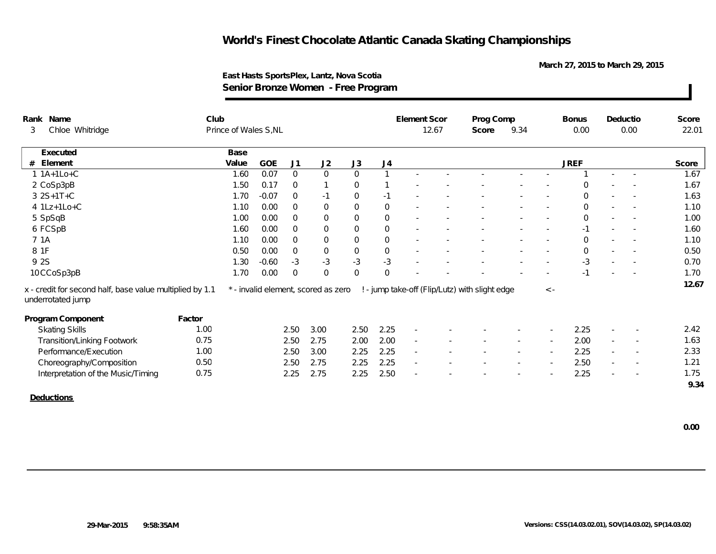**March 27, 2015 to March 29, 2015**

|      | Rank Name                                                                     | Club   |                       |            |                |                                     |                     |                | Element Scor             |       | Prog Comp                                      |        |                          | <b>Bonus</b>   |                          | Deductio                 | Score |
|------|-------------------------------------------------------------------------------|--------|-----------------------|------------|----------------|-------------------------------------|---------------------|----------------|--------------------------|-------|------------------------------------------------|--------|--------------------------|----------------|--------------------------|--------------------------|-------|
| 3    | Chloe Whitridge                                                               |        | Prince of Wales S, NL |            |                |                                     |                     |                |                          | 12.67 | Score                                          | 9.34   |                          | 0.00           |                          | 0.00                     | 22.01 |
|      | Executed                                                                      |        | Base                  |            |                |                                     |                     |                |                          |       |                                                |        |                          |                |                          |                          |       |
|      | $#$ Element                                                                   |        | Value                 | <b>GOE</b> | J <sub>1</sub> | J2                                  | J3                  | J4             |                          |       |                                                |        |                          | <b>JREF</b>    |                          |                          | Score |
|      | $1.1A+1Lo+C$                                                                  |        | 1.60                  | 0.07       | $\overline{0}$ | $\overline{0}$                      | $\mathsf{O}$        |                |                          |       |                                                |        |                          |                |                          | $\overline{\phantom{a}}$ | 1.67  |
|      | 2 CoSp3pB                                                                     |        | 1.50                  | 0.17       | $\mathbf 0$    |                                     | $\overline{0}$      |                |                          |       |                                                |        |                          | $\Omega$       |                          |                          | 1.67  |
|      | $3 2S+1T+C$                                                                   |        | 1.70                  | $-0.07$    | $\mathbf 0$    | $-1$                                | $\mathbf 0$         | $-1$           |                          |       |                                                |        |                          | $\mathbf 0$    | $\sim$                   |                          | 1.63  |
|      | 4 1Lz+1Lo+C                                                                   |        | 1.10                  | 0.00       | $\overline{0}$ | $\mathsf{O}$                        | $\mathsf{O}\xspace$ | $\mathbf 0$    |                          |       |                                                |        |                          | $\mathbf 0$    | $\overline{\phantom{a}}$ |                          | 1.10  |
|      | 5 SpSqB                                                                       |        | 1.00                  | 0.00       | $\mathbf 0$    | $\mathbf 0$                         | $\mathbf 0$         | $\mathbf 0$    |                          |       |                                                |        |                          | $\mathbf 0$    | $\overline{\phantom{a}}$ |                          | 1.00  |
|      | 6 FCSpB                                                                       |        | 1.60                  | 0.00       | $\overline{0}$ | $\overline{0}$                      | $\overline{0}$      | $\overline{0}$ |                          |       |                                                |        |                          | $-1$           |                          |                          | 1.60  |
|      | 7 1A                                                                          |        | 1.10                  | 0.00       | $\overline{0}$ | $\overline{0}$                      | $\mathbf 0$         | $\overline{0}$ |                          |       |                                                |        |                          | $\Omega$       |                          |                          | 1.10  |
| 8 1F |                                                                               |        | 0.50                  | 0.00       | $\overline{0}$ | $\boldsymbol{0}$                    | $\overline{0}$      | $\,0\,$        |                          |       |                                                |        |                          | $\overline{0}$ | $\sim$                   |                          | 0.50  |
|      | 9 2S                                                                          |        | 1.30                  | $-0.60$    | $-3$           | $-3$                                | $-3$                | $-3$           |                          |       |                                                |        |                          | $-3$           | $\overline{\phantom{a}}$ |                          | 0.70  |
|      | 10CCoSp3pB                                                                    |        | 1.70                  | 0.00       | $\overline{0}$ | $\overline{0}$                      | $\mathbf 0$         | $\mathbf 0$    |                          |       |                                                |        |                          |                |                          |                          | 1.70  |
|      | x - credit for second half, base value multiplied by 1.1<br>underrotated jump |        |                       |            |                | * - invalid element, scored as zero |                     |                |                          |       | ! - jump take-off (Flip/Lutz) with slight edge |        | $\langle$ -              |                |                          |                          | 12.67 |
|      | Program Component                                                             | Factor |                       |            |                |                                     |                     |                |                          |       |                                                |        |                          |                |                          |                          |       |
|      | <b>Skating Skills</b>                                                         | 1.00   |                       |            | 2.50           | 3.00                                | 2.50                | 2.25           | $\sim$                   |       |                                                |        |                          | 2.25           |                          |                          | 2.42  |
|      | <b>Transition/Linking Footwork</b>                                            | 0.75   |                       |            | 2.50           | 2.75                                | 2.00                | 2.00           | $\overline{\phantom{a}}$ |       |                                                |        |                          | 2.00           | $\overline{\phantom{a}}$ |                          | 1.63  |
|      | Performance/Execution                                                         | 1.00   |                       |            | 2.50           | 3.00                                | 2.25                | 2.25           | $\sim$                   |       |                                                | $\sim$ | $\overline{\phantom{a}}$ | 2.25           | $\sim$                   | $\sim$                   | 2.33  |
|      | Choreography/Composition                                                      | 0.50   |                       |            | 2.50           | 2.75                                | 2.25                | 2.25           | $\overline{\phantom{a}}$ |       |                                                |        | $\sim$                   | 2.50           | $\overline{\phantom{a}}$ |                          | 1.21  |
|      | Interpretation of the Music/Timing                                            | 0.75   |                       |            | 2.25           | 2.75                                | 2.25                | 2.50           |                          |       |                                                |        |                          | 2.25           |                          |                          | 1.75  |
|      |                                                                               |        |                       |            |                |                                     |                     |                |                          |       |                                                |        |                          |                |                          |                          | 9.34  |
|      | Deductions                                                                    |        |                       |            |                |                                     |                     |                |                          |       |                                                |        |                          |                |                          |                          |       |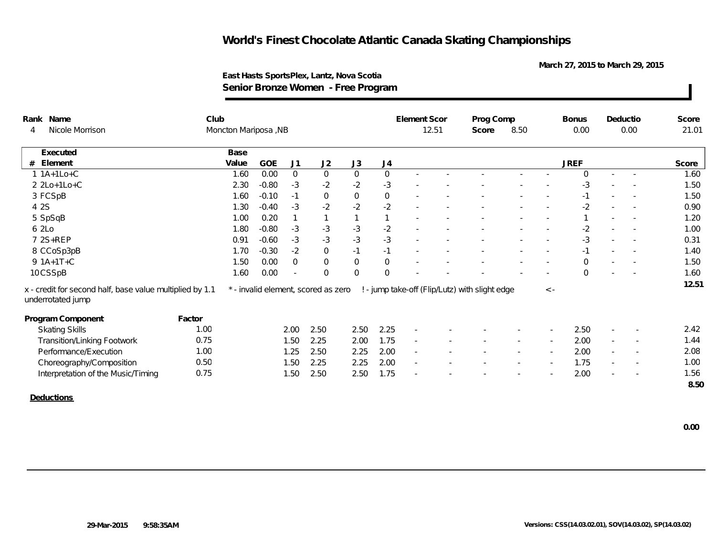**March 27, 2015 to March 29, 2015**

| 12.51<br>0.00<br>0.00<br>Nicole Morrison<br>Moncton Mariposa, NB<br>8.50<br>21.01<br>Score<br>Base<br>Executed<br>GOE<br>J2<br><b>JREF</b><br>Element<br>Value<br>J1<br>J3<br>J <sub>4</sub><br>Score<br>$\mathsf O$<br>$\mathbf 0$<br>$\boldsymbol{0}$<br>$\mathbf 0$<br>1.60<br>1.60<br>0.00<br>$\Omega$<br>$\sim$<br>$-2$<br>$-2$<br>$-3$<br>2.30<br>$-0.80$<br>$-3$<br>1.50<br>$-3$<br>$\mathbf 0$<br>$\mathbf 0$<br>$\mathbf 0$<br>1.50<br>1.60<br>$-0.10$<br>$-1$<br>$-1$<br>$-2$<br>$-2$<br>$-2$<br>1.30<br>$-3$<br>$-2$<br>0.90<br>$-0.40$<br>1.20<br>0.20<br>1.00<br>$\mathbf{1}$<br>$\mathbf{1}$<br>$\sim$<br>$-3$<br>$-3$<br>$-2$<br>$-0.80$<br>$-3$<br>$-2$<br>1.00<br>1.80<br>$-3$<br>$-3$<br>$-3$<br>$-3$<br>$-3$<br>0.31<br>0.91<br>$-0.60$<br>$\mathbf 0$<br>1.70<br>$-2$<br>$-1$<br>$-1$<br>$-0.30$<br>1.40<br>$-1$<br>$\sim$<br>$\mathsf{O}\xspace$<br>$\mathbf 0$<br>$\mathbf 0$<br>$\overline{0}$<br>1.50<br>0.00<br>1.50<br>$\Omega$<br>1.60<br>0.00<br>$\mathbf{0}$<br>$\mathbf 0$<br>$\mathbf{0}$<br>1.60<br>$\Omega$<br>$\overline{\phantom{a}}$<br>$\overline{\phantom{a}}$<br>12.51<br>x - credit for second half, base value multiplied by 1.1<br>! - jump take-off (Flip/Lutz) with slight edge<br>* - invalid element, scored as zero<br>$\langle$ -<br>Factor<br>2.25<br>2.50<br>1.00<br>2.00<br>2.50<br>2.50<br>2.42<br><b>Skating Skills</b><br>$\sim$<br>$\overline{\phantom{a}}$<br>2.00<br><b>Transition/Linking Footwork</b><br>0.75<br>1.50<br>2.25<br>2.00<br>1.75<br>1.44<br>$\overline{\phantom{a}}$<br>$\overline{\phantom{a}}$<br>2.00<br>Performance/Execution<br>1.00<br>1.25<br>2.50<br>2.25<br>2.00<br>2.08<br>$\sim$<br>$\sim$<br>$\sim$<br>$\sim$<br>$\overline{\phantom{a}}$<br>2.00<br>0.50<br>2.25<br>2.25<br>1.75<br>1.00<br>Choreography/Composition<br>1.50<br>$\sim$<br>$\sim$<br>$\sim$<br>0.75<br>2.50<br>1.75<br>2.00<br>1.56<br>Interpretation of the Music/Timing<br>1.50<br>2.50<br>8.50 | Rank Name         | Club |  |  |  | Element Scor | Prog Comp |  | <b>Bonus</b> | Deductio | Score |
|-------------------------------------------------------------------------------------------------------------------------------------------------------------------------------------------------------------------------------------------------------------------------------------------------------------------------------------------------------------------------------------------------------------------------------------------------------------------------------------------------------------------------------------------------------------------------------------------------------------------------------------------------------------------------------------------------------------------------------------------------------------------------------------------------------------------------------------------------------------------------------------------------------------------------------------------------------------------------------------------------------------------------------------------------------------------------------------------------------------------------------------------------------------------------------------------------------------------------------------------------------------------------------------------------------------------------------------------------------------------------------------------------------------------------------------------------------------------------------------------------------------------------------------------------------------------------------------------------------------------------------------------------------------------------------------------------------------------------------------------------------------------------------------------------------------------------------------------------------------------------------------------------------------------------------------------------------|-------------------|------|--|--|--|--------------|-----------|--|--------------|----------|-------|
|                                                                                                                                                                                                                                                                                                                                                                                                                                                                                                                                                                                                                                                                                                                                                                                                                                                                                                                                                                                                                                                                                                                                                                                                                                                                                                                                                                                                                                                                                                                                                                                                                                                                                                                                                                                                                                                                                                                                                       | 4                 |      |  |  |  |              |           |  |              |          |       |
|                                                                                                                                                                                                                                                                                                                                                                                                                                                                                                                                                                                                                                                                                                                                                                                                                                                                                                                                                                                                                                                                                                                                                                                                                                                                                                                                                                                                                                                                                                                                                                                                                                                                                                                                                                                                                                                                                                                                                       |                   |      |  |  |  |              |           |  |              |          |       |
|                                                                                                                                                                                                                                                                                                                                                                                                                                                                                                                                                                                                                                                                                                                                                                                                                                                                                                                                                                                                                                                                                                                                                                                                                                                                                                                                                                                                                                                                                                                                                                                                                                                                                                                                                                                                                                                                                                                                                       | #                 |      |  |  |  |              |           |  |              |          |       |
|                                                                                                                                                                                                                                                                                                                                                                                                                                                                                                                                                                                                                                                                                                                                                                                                                                                                                                                                                                                                                                                                                                                                                                                                                                                                                                                                                                                                                                                                                                                                                                                                                                                                                                                                                                                                                                                                                                                                                       | $1 1A+1Lo+C$      |      |  |  |  |              |           |  |              |          |       |
|                                                                                                                                                                                                                                                                                                                                                                                                                                                                                                                                                                                                                                                                                                                                                                                                                                                                                                                                                                                                                                                                                                                                                                                                                                                                                                                                                                                                                                                                                                                                                                                                                                                                                                                                                                                                                                                                                                                                                       | 2 2Lo+1Lo+C       |      |  |  |  |              |           |  |              |          |       |
|                                                                                                                                                                                                                                                                                                                                                                                                                                                                                                                                                                                                                                                                                                                                                                                                                                                                                                                                                                                                                                                                                                                                                                                                                                                                                                                                                                                                                                                                                                                                                                                                                                                                                                                                                                                                                                                                                                                                                       | 3 FCSpB           |      |  |  |  |              |           |  |              |          |       |
|                                                                                                                                                                                                                                                                                                                                                                                                                                                                                                                                                                                                                                                                                                                                                                                                                                                                                                                                                                                                                                                                                                                                                                                                                                                                                                                                                                                                                                                                                                                                                                                                                                                                                                                                                                                                                                                                                                                                                       | 4 2 S             |      |  |  |  |              |           |  |              |          |       |
|                                                                                                                                                                                                                                                                                                                                                                                                                                                                                                                                                                                                                                                                                                                                                                                                                                                                                                                                                                                                                                                                                                                                                                                                                                                                                                                                                                                                                                                                                                                                                                                                                                                                                                                                                                                                                                                                                                                                                       | 5 SpSqB           |      |  |  |  |              |           |  |              |          |       |
|                                                                                                                                                                                                                                                                                                                                                                                                                                                                                                                                                                                                                                                                                                                                                                                                                                                                                                                                                                                                                                                                                                                                                                                                                                                                                                                                                                                                                                                                                                                                                                                                                                                                                                                                                                                                                                                                                                                                                       | 6 2Lo             |      |  |  |  |              |           |  |              |          |       |
|                                                                                                                                                                                                                                                                                                                                                                                                                                                                                                                                                                                                                                                                                                                                                                                                                                                                                                                                                                                                                                                                                                                                                                                                                                                                                                                                                                                                                                                                                                                                                                                                                                                                                                                                                                                                                                                                                                                                                       | 7 2S+REP          |      |  |  |  |              |           |  |              |          |       |
|                                                                                                                                                                                                                                                                                                                                                                                                                                                                                                                                                                                                                                                                                                                                                                                                                                                                                                                                                                                                                                                                                                                                                                                                                                                                                                                                                                                                                                                                                                                                                                                                                                                                                                                                                                                                                                                                                                                                                       | 8 CCoSp3pB        |      |  |  |  |              |           |  |              |          |       |
|                                                                                                                                                                                                                                                                                                                                                                                                                                                                                                                                                                                                                                                                                                                                                                                                                                                                                                                                                                                                                                                                                                                                                                                                                                                                                                                                                                                                                                                                                                                                                                                                                                                                                                                                                                                                                                                                                                                                                       | $9 1A+1T+C$       |      |  |  |  |              |           |  |              |          |       |
|                                                                                                                                                                                                                                                                                                                                                                                                                                                                                                                                                                                                                                                                                                                                                                                                                                                                                                                                                                                                                                                                                                                                                                                                                                                                                                                                                                                                                                                                                                                                                                                                                                                                                                                                                                                                                                                                                                                                                       | 10CSSpB           |      |  |  |  |              |           |  |              |          |       |
|                                                                                                                                                                                                                                                                                                                                                                                                                                                                                                                                                                                                                                                                                                                                                                                                                                                                                                                                                                                                                                                                                                                                                                                                                                                                                                                                                                                                                                                                                                                                                                                                                                                                                                                                                                                                                                                                                                                                                       | underrotated jump |      |  |  |  |              |           |  |              |          |       |
|                                                                                                                                                                                                                                                                                                                                                                                                                                                                                                                                                                                                                                                                                                                                                                                                                                                                                                                                                                                                                                                                                                                                                                                                                                                                                                                                                                                                                                                                                                                                                                                                                                                                                                                                                                                                                                                                                                                                                       | Program Component |      |  |  |  |              |           |  |              |          |       |
|                                                                                                                                                                                                                                                                                                                                                                                                                                                                                                                                                                                                                                                                                                                                                                                                                                                                                                                                                                                                                                                                                                                                                                                                                                                                                                                                                                                                                                                                                                                                                                                                                                                                                                                                                                                                                                                                                                                                                       |                   |      |  |  |  |              |           |  |              |          |       |
|                                                                                                                                                                                                                                                                                                                                                                                                                                                                                                                                                                                                                                                                                                                                                                                                                                                                                                                                                                                                                                                                                                                                                                                                                                                                                                                                                                                                                                                                                                                                                                                                                                                                                                                                                                                                                                                                                                                                                       |                   |      |  |  |  |              |           |  |              |          |       |
|                                                                                                                                                                                                                                                                                                                                                                                                                                                                                                                                                                                                                                                                                                                                                                                                                                                                                                                                                                                                                                                                                                                                                                                                                                                                                                                                                                                                                                                                                                                                                                                                                                                                                                                                                                                                                                                                                                                                                       |                   |      |  |  |  |              |           |  |              |          |       |
|                                                                                                                                                                                                                                                                                                                                                                                                                                                                                                                                                                                                                                                                                                                                                                                                                                                                                                                                                                                                                                                                                                                                                                                                                                                                                                                                                                                                                                                                                                                                                                                                                                                                                                                                                                                                                                                                                                                                                       |                   |      |  |  |  |              |           |  |              |          |       |
|                                                                                                                                                                                                                                                                                                                                                                                                                                                                                                                                                                                                                                                                                                                                                                                                                                                                                                                                                                                                                                                                                                                                                                                                                                                                                                                                                                                                                                                                                                                                                                                                                                                                                                                                                                                                                                                                                                                                                       |                   |      |  |  |  |              |           |  |              |          |       |
|                                                                                                                                                                                                                                                                                                                                                                                                                                                                                                                                                                                                                                                                                                                                                                                                                                                                                                                                                                                                                                                                                                                                                                                                                                                                                                                                                                                                                                                                                                                                                                                                                                                                                                                                                                                                                                                                                                                                                       |                   |      |  |  |  |              |           |  |              |          |       |
|                                                                                                                                                                                                                                                                                                                                                                                                                                                                                                                                                                                                                                                                                                                                                                                                                                                                                                                                                                                                                                                                                                                                                                                                                                                                                                                                                                                                                                                                                                                                                                                                                                                                                                                                                                                                                                                                                                                                                       | Deductions        |      |  |  |  |              |           |  |              |          |       |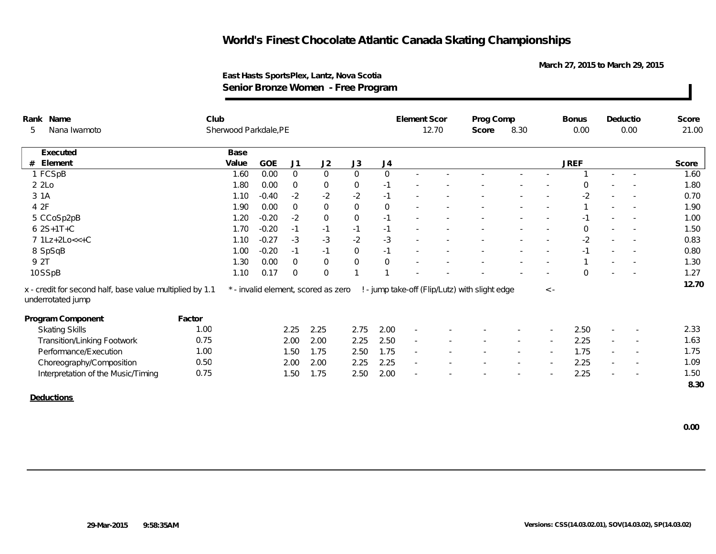**March 27, 2015 to March 29, 2015**

| Rank Name                                                                     | Club   |                       |            |                |                                     |                     |                | Element Scor             |       | Prog Comp                                      |      |             | <b>Bonus</b> | Deductio                 |                          | Score |
|-------------------------------------------------------------------------------|--------|-----------------------|------------|----------------|-------------------------------------|---------------------|----------------|--------------------------|-------|------------------------------------------------|------|-------------|--------------|--------------------------|--------------------------|-------|
| Nana Iwamoto<br>5                                                             |        | Sherwood Parkdale, PE |            |                |                                     |                     |                |                          | 12.70 | Score                                          | 8.30 |             | 0.00         |                          | 0.00                     | 21.00 |
| Executed                                                                      |        | Base                  |            |                |                                     |                     |                |                          |       |                                                |      |             |              |                          |                          |       |
| # Element                                                                     |        | Value                 | <b>GOE</b> | J <sub>1</sub> | J2                                  | J3                  | J4             |                          |       |                                                |      |             | <b>JREF</b>  |                          |                          | Score |
| 1 FCSpB                                                                       |        | 1.60                  | 0.00       | $\overline{0}$ | $\overline{0}$                      | $\overline{0}$      | $\overline{0}$ |                          |       |                                                |      |             |              |                          | $\sim$                   | 1.60  |
| 22                                                                            |        | 1.80                  | 0.00       | $\mathbf{0}$   | $\overline{0}$                      | $\mathbf 0$         | $-1$           |                          |       |                                                |      |             | $\Omega$     |                          |                          | 1.80  |
| 3 1 A                                                                         |        | 1.10                  | $-0.40$    | $-2$           | $-2$                                | $-2$                | $-1$           |                          |       |                                                |      |             | $-2$         |                          |                          | 0.70  |
| 4 2F                                                                          |        | 1.90                  | 0.00       | $\overline{0}$ | $\mathbf 0$                         | $\mathsf{O}\xspace$ | $\mathbf 0$    |                          |       |                                                |      |             |              |                          |                          | 1.90  |
| 5 CCoSp2pB                                                                    |        | 1.20                  | $-0.20$    | $-2$           | $\mathbf 0$                         | $\mathbf 0$         | $-1$           |                          |       |                                                |      |             | $-1$         |                          |                          | 1.00  |
| $62S+1T+C$                                                                    |        | 1.70                  | $-0.20$    | $-1$           | $-1$                                | $-1$                | $-1$           |                          |       |                                                |      |             | $\Omega$     |                          |                          | 1.50  |
| 7 1Lz+2Lo<<+C                                                                 |        | 1.10                  | $-0.27$    | $-3$           | $-3$                                | $-2$                | $-3$           |                          |       |                                                |      |             | $-2$         |                          |                          | 0.83  |
| 8 SpSqB                                                                       |        | 1.00                  | $-0.20$    | $-1$           | $-1$                                | $\overline{0}$      | $-1$           |                          |       |                                                |      |             |              |                          |                          | 0.80  |
| 9 2T                                                                          |        | 1.30                  | 0.00       | $\overline{0}$ | $\mathsf{O}$                        | $\mathsf{O}\xspace$ | $\mathbf 0$    |                          |       |                                                |      |             |              |                          |                          | 1.30  |
| 10SSpB                                                                        |        | 1.10                  | 0.17       | $\overline{0}$ | $\overline{0}$                      |                     |                |                          |       |                                                |      |             | $\Omega$     |                          |                          | 1.27  |
| x - credit for second half, base value multiplied by 1.1<br>underrotated jump |        |                       |            |                | * - invalid element, scored as zero |                     |                |                          |       | ! - jump take-off (Flip/Lutz) with slight edge |      | $\langle$ - |              |                          |                          | 12.70 |
| Program Component                                                             | Factor |                       |            |                |                                     |                     |                |                          |       |                                                |      |             |              |                          |                          |       |
| <b>Skating Skills</b>                                                         | 1.00   |                       |            | 2.25           | 2.25                                | 2.75                | 2.00           | $\sim$                   |       |                                                |      |             | 2.50         |                          |                          | 2.33  |
| <b>Transition/Linking Footwork</b>                                            | 0.75   |                       |            | 2.00           | 2.00                                | 2.25                | 2.50           | $\overline{\phantom{a}}$ |       |                                                |      |             | 2.25         | $\overline{\phantom{a}}$ |                          | 1.63  |
| Performance/Execution                                                         | 1.00   |                       |            | 1.50           | 1.75                                | 2.50                | 1.75           | $\overline{\phantom{a}}$ |       |                                                |      |             | 1.75         | $\sim$                   |                          | 1.75  |
| Choreography/Composition                                                      | 0.50   |                       |            | 2.00           | 2.00                                | 2.25                | 2.25           | $\sim$                   |       |                                                |      |             | 2.25         |                          | $\overline{\phantom{a}}$ | 1.09  |
| Interpretation of the Music/Timing                                            | 0.75   |                       |            | 1.50           | 1.75                                | 2.50                | 2.00           |                          |       |                                                |      |             | 2.25         |                          |                          | 1.50  |
|                                                                               |        |                       |            |                |                                     |                     |                |                          |       |                                                |      |             |              |                          |                          | 8.30  |
| <b>Deductions</b>                                                             |        |                       |            |                |                                     |                     |                |                          |       |                                                |      |             |              |                          |                          |       |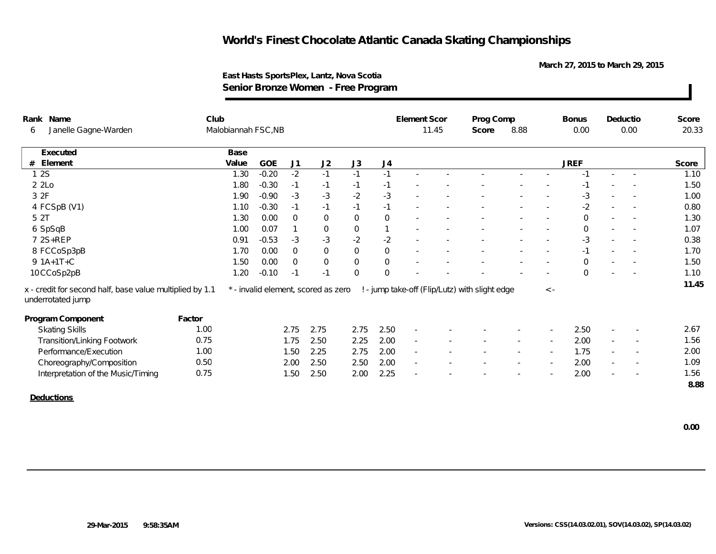**March 27, 2015 to March 29, 2015**

| Rank Name                                                                     | Club   |                     |         |              |                                     |                |             | <b>Element Scor</b> |       | Prog Comp                                      |        |                          | <b>Bonus</b> |                          | Deductio                 | Score |
|-------------------------------------------------------------------------------|--------|---------------------|---------|--------------|-------------------------------------|----------------|-------------|---------------------|-------|------------------------------------------------|--------|--------------------------|--------------|--------------------------|--------------------------|-------|
| Janelle Gagne-Warden<br>6                                                     |        | Malobiannah FSC, NB |         |              |                                     |                |             |                     | 11.45 | Score                                          | 8.88   |                          | 0.00         |                          | 0.00                     | 20.33 |
| Executed                                                                      |        | Base                |         |              |                                     |                |             |                     |       |                                                |        |                          |              |                          |                          |       |
| Element<br>#                                                                  |        | Value               | GOE     | J1           | J2                                  | J3             | J4          |                     |       |                                                |        |                          | <b>JREF</b>  |                          |                          | Score |
| 12S                                                                           |        | 1.30                | $-0.20$ | $-2$         | $-1$                                | $-1$           | $-1$        |                     |       |                                                |        |                          | $-1$         | $\sim$                   | $\sim$                   | 1.10  |
| 22                                                                            |        | 1.80                | $-0.30$ | $-1$         | $-1$                                | $-1$           | $-1$        |                     |       |                                                |        |                          | $-1$         |                          |                          | 1.50  |
| 3 2F                                                                          |        | 1.90                | $-0.90$ | $-3$         | $-3$                                | $-2$           | $-3$        |                     |       |                                                |        |                          | $-3$         | $\sim$                   | $\overline{\phantom{a}}$ | 1.00  |
| 4 FCSpB (V1)                                                                  |        | 1.10                | $-0.30$ | $-1$         | $-1$                                | $-1$           | $-1$        |                     |       |                                                |        |                          | $-2$         | $\sim$                   |                          | 0.80  |
| 5 2T                                                                          |        | 1.30                | 0.00    | $\mathbf 0$  | $\mathbf 0$                         | $\mathbf 0$    | $\mathbf 0$ |                     |       |                                                |        |                          | $\mathbf 0$  | ٠                        |                          | 1.30  |
| 6 SpSqB                                                                       |        | 1.00                | 0.07    |              | $\mathbf 0$                         | $\mathbf 0$    |             |                     |       |                                                |        |                          | $\mathbf 0$  |                          |                          | 1.07  |
| 7 2S+REP                                                                      |        | 0.91                | $-0.53$ | $-3$         | $-3$                                | $-2$           | $-2$        |                     |       |                                                |        |                          | $-3$         |                          |                          | 0.38  |
| 8 FCCoSp3pB                                                                   |        | 1.70                | 0.00    | $\mathbf{0}$ | $\mathbf 0$                         | $\mathsf{O}$   | $\mathbf 0$ |                     |       |                                                |        |                          | $-1$         | $\overline{\phantom{a}}$ | $\sim$                   | 1.70  |
| $9 \; 1A+1T+C$                                                                |        | 1.50                | 0.00    | $\mathbf{0}$ | $\mathbf{0}$                        | $\mathbf 0$    | $\mathbf 0$ |                     |       |                                                |        |                          | $\Omega$     | ٠                        |                          | 1.50  |
| 10 CCoSp2pB                                                                   |        | 1.20                | $-0.10$ | $-1$         | $-1$                                | $\overline{0}$ | $\Omega$    |                     |       |                                                |        |                          | $\Omega$     |                          |                          | 1.10  |
| x - credit for second half, base value multiplied by 1.1<br>underrotated jump |        |                     |         |              | * - invalid element, scored as zero |                |             |                     |       | ! - jump take-off (Flip/Lutz) with slight edge |        | $\langle$ -              |              |                          |                          | 11.45 |
| Program Component                                                             | Factor |                     |         |              |                                     |                |             |                     |       |                                                |        |                          |              |                          |                          |       |
| <b>Skating Skills</b>                                                         | 1.00   |                     |         | 2.75         | 2.75                                | 2.75           | 2.50        | $\sim$              |       |                                                |        |                          | 2.50         |                          |                          | 2.67  |
| <b>Transition/Linking Footwork</b>                                            | 0.75   |                     |         | 1.75         | 2.50                                | 2.25           | 2.00        | $\sim$              |       |                                                |        |                          | 2.00         | $\overline{\phantom{a}}$ |                          | 1.56  |
| Performance/Execution                                                         | 1.00   |                     |         | 1.50         | 2.25                                | 2.75           | 2.00        | $\sim$              |       |                                                | $\sim$ | $\overline{\phantom{a}}$ | 1.75         | $\overline{\phantom{a}}$ | $\sim$                   | 2.00  |
| Choreography/Composition                                                      | 0.50   |                     |         | 2.00         | 2.50                                | 2.50           | 2.00        | $\sim$              |       |                                                |        | $\sim$                   | 2.00         | $\sim$                   |                          | 1.09  |
| Interpretation of the Music/Timing                                            | 0.75   |                     |         | 1.50         | 2.50                                | 2.00           | 2.25        |                     |       |                                                |        |                          | 2.00         |                          |                          | 1.56  |
|                                                                               |        |                     |         |              |                                     |                |             |                     |       |                                                |        |                          |              |                          |                          | 8.88  |
| Deductions                                                                    |        |                     |         |              |                                     |                |             |                     |       |                                                |        |                          |              |                          |                          |       |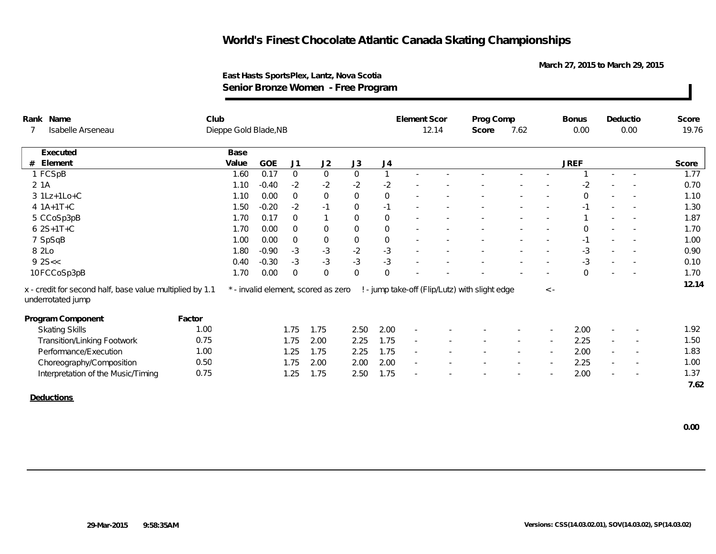**March 27, 2015 to March 29, 2015**

| Rank Name                                                                     | Club   |                       |         |                |                                     |                     |                | Element Scor |       | Prog Comp                                      |        |             | <b>Bonus</b> |        | Deductio                 | Score |
|-------------------------------------------------------------------------------|--------|-----------------------|---------|----------------|-------------------------------------|---------------------|----------------|--------------|-------|------------------------------------------------|--------|-------------|--------------|--------|--------------------------|-------|
| Isabelle Arseneau                                                             |        | Dieppe Gold Blade, NB |         |                |                                     |                     |                |              | 12.14 | Score                                          | 7.62   |             | 0.00         |        | 0.00                     | 19.76 |
| Executed                                                                      |        | Base                  |         |                |                                     |                     |                |              |       |                                                |        |             |              |        |                          |       |
| Element<br>#                                                                  |        | Value                 | GOE     | J1             | J2                                  | J3                  | J4             |              |       |                                                |        |             | <b>JREF</b>  |        |                          | Score |
| 1 FCSpB                                                                       |        | 1.60                  | 0.17    | $\mathbf 0$    | $\mathbf 0$                         | $\mathsf{O}\xspace$ | $\mathbf{1}$   |              |       |                                                |        |             |              |        |                          | 1.77  |
| 2 1A                                                                          |        | 1.10                  | $-0.40$ | $-2$           | $-2$                                | $-2$                | $-2$           |              |       |                                                |        |             | $-2$         |        |                          | 0.70  |
| 3 1Lz+1Lo+C                                                                   |        | 1.10                  | 0.00    | $\mathbf 0$    | $\mathbf 0$                         | $\mathsf{O}\xspace$ | $\mathsf{O}$   |              |       |                                                |        |             | $\mathbf 0$  |        |                          | 1.10  |
| 4 1A+1T+C                                                                     |        | 1.50                  | $-0.20$ | $-2$           | $-1$                                | $\mathbf 0$         | $-1$           |              |       |                                                |        |             | $-1$         |        |                          | 1.30  |
| 5 CCoSp3pB                                                                    |        | 1.70                  | 0.17    | $\overline{0}$ | $\mathbf{1}$                        | $\mathbf{0}$        | $\overline{0}$ |              |       |                                                |        |             |              |        |                          | 1.87  |
| $62S+1T+C$                                                                    |        | 1.70                  | 0.00    | $\Omega$       | $\mathbf 0$                         | $\mathbf{0}$        | $\overline{0}$ |              |       |                                                |        |             | $\Omega$     |        |                          | 1.70  |
| 7 SpSqB                                                                       |        | 1.00                  | 0.00    | $\overline{0}$ | $\boldsymbol{0}$                    | $\boldsymbol{0}$    | $\mathbf 0$    |              |       |                                                |        |             | $-1$         |        |                          | 1.00  |
| 8 2Lo                                                                         |        | 1.80                  | $-0.90$ | $-3$           | $-3$                                | $-2$                | $-3$           |              |       |                                                |        |             | $-3$         | $\sim$ |                          | 0.90  |
| 92S <                                                                         |        | 0.40                  | $-0.30$ | $-3$           | $-3$                                | $-3$                | $-3$           |              |       |                                                |        |             | $-3$         |        |                          | 0.10  |
| 10FCCoSp3pB                                                                   |        | 1.70                  | 0.00    | $\Omega$       | $\overline{0}$                      | $\mathbf 0$         | $\Omega$       |              |       |                                                |        |             | $\Omega$     |        |                          | 1.70  |
| x - credit for second half, base value multiplied by 1.1<br>underrotated jump |        |                       |         |                | * - invalid element, scored as zero |                     |                |              |       | ! - jump take-off (Flip/Lutz) with slight edge |        | $\langle$ - |              |        |                          | 12.14 |
| Program Component                                                             | Factor |                       |         |                |                                     |                     |                |              |       |                                                |        |             |              |        |                          |       |
| <b>Skating Skills</b>                                                         | 1.00   |                       |         | 1.75           | 1.75                                | 2.50                | 2.00           | $\sim$       |       |                                                |        |             | 2.00         |        |                          | 1.92  |
| <b>Transition/Linking Footwork</b>                                            | 0.75   |                       |         | 1.75           | 2.00                                | 2.25                | 1.75           |              |       |                                                |        |             | 2.25         |        |                          | 1.50  |
| Performance/Execution                                                         | 1.00   |                       |         | 1.25           | 1.75                                | 2.25                | 1.75           | $\sim$       |       |                                                | $\sim$ | $\sim$      | 2.00         | $\sim$ | $\overline{\phantom{a}}$ | 1.83  |
| Choreography/Composition                                                      | 0.50   |                       |         | 1.75           | 2.00                                | 2.00                | 2.00           | $\sim$       |       |                                                |        |             | 2.25         | $\sim$ | $\overline{\phantom{a}}$ | 1.00  |
| Interpretation of the Music/Timing                                            | 0.75   |                       |         | 1.25           | 1.75                                | 2.50                | 1.75           |              |       |                                                |        |             | 2.00         |        |                          | 1.37  |
|                                                                               |        |                       |         |                |                                     |                     |                |              |       |                                                |        |             |              |        |                          | 7.62  |
| Deductions                                                                    |        |                       |         |                |                                     |                     |                |              |       |                                                |        |             |              |        |                          |       |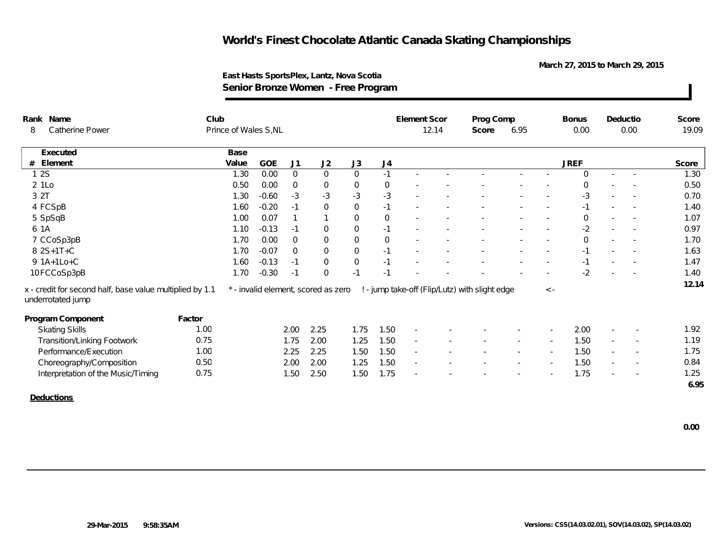**March 27, 2015 to March 29, 2015**

| Rank Name                                                                     | Club   |                       |         |                |                                     |                |              | Element Scor             |       | Prog Comp                                      |        |             | <b>Bonus</b> |                          | Deductio                 | Score |
|-------------------------------------------------------------------------------|--------|-----------------------|---------|----------------|-------------------------------------|----------------|--------------|--------------------------|-------|------------------------------------------------|--------|-------------|--------------|--------------------------|--------------------------|-------|
| Catherine Power<br>8                                                          |        | Prince of Wales S, NL |         |                |                                     |                |              |                          | 12.14 | Score                                          | 6.95   |             | 0.00         |                          | 0.00                     | 19.09 |
| Executed                                                                      |        | Base                  |         |                |                                     |                |              |                          |       |                                                |        |             |              |                          |                          |       |
| Element<br>#                                                                  |        | Value                 | GOE     | J1             | J2                                  | J3             | J4           |                          |       |                                                |        |             | <b>JREF</b>  |                          |                          | Score |
| 12S                                                                           |        | 1.30                  | 0.00    | $\overline{0}$ | $\mathbf 0$                         | $\overline{0}$ | $-1$         |                          |       |                                                |        |             | $\Omega$     | $\sim$                   | $\overline{\phantom{a}}$ | 1.30  |
| 2 1Lo                                                                         |        | 0.50                  | 0.00    | $\overline{0}$ | $\mathbf 0$                         | $\mathbf 0$    | $\mathbf 0$  |                          |       |                                                |        |             | $\Omega$     |                          |                          | 0.50  |
| 3 2T                                                                          |        | 1.30                  | $-0.60$ | $-3$           | $-3$                                | $-3$           | $-3$         |                          |       |                                                |        |             | $-3$         |                          |                          | 0.70  |
| 4 FCSpB                                                                       |        | 1.60                  | $-0.20$ | $-1$           | $\mathbf 0$                         | $\mathbf 0$    | $-1$         |                          |       |                                                |        |             |              |                          |                          | 1.40  |
| 5 SpSqB                                                                       |        | 1.00                  | 0.07    |                | $\mathbf{1}$                        | $\mathbf 0$    | $\mathbf{0}$ |                          |       |                                                |        | $\sim$      | $\mathbf 0$  | $\sim$                   | $\sim$                   | 1.07  |
| 6 1A                                                                          |        | 1.10                  | $-0.13$ | $-1$           | $\overline{0}$                      | $\overline{0}$ | $-1$         |                          |       |                                                |        |             | $-2$         |                          |                          | 0.97  |
| 7 CCoSp3pB                                                                    |        | 1.70                  | 0.00    | $\overline{0}$ | $\overline{0}$                      | $\mathbf 0$    | $\mathbf{0}$ |                          |       |                                                |        |             | $\mathbf 0$  |                          |                          | 1.70  |
| 8 2S+1T+C                                                                     |        | 1.70                  | $-0.07$ | $\overline{0}$ | $\mathbf 0$                         | $\,0\,$        | $-1$         |                          |       |                                                |        |             | $-1$         | $\overline{\phantom{a}}$ |                          | 1.63  |
| 9 1A+1Lo+C                                                                    |        | 1.60                  | $-0.13$ | $-1$           | $\mathbf 0$                         | $\mathbf 0$    | $-1$         |                          |       |                                                |        |             | $-1$         |                          |                          | 1.47  |
| 10FCCoSp3pB                                                                   |        | 1.70                  | $-0.30$ | $-1$           | $\mathbf{0}$                        | $-1$           | $-1$         |                          |       |                                                |        |             | $-2$         |                          |                          | 1.40  |
| x - credit for second half, base value multiplied by 1.1<br>underrotated jump |        |                       |         |                | * - invalid element, scored as zero |                |              |                          |       | ! - jump take-off (Flip/Lutz) with slight edge |        | $\langle$ - |              |                          |                          | 12.14 |
| Program Component                                                             | Factor |                       |         |                |                                     |                |              |                          |       |                                                |        |             |              |                          |                          |       |
| <b>Skating Skills</b>                                                         | 1.00   |                       |         | 2.00           | 2.25                                | 1.75           | 1.50         | $\sim$                   |       |                                                |        |             | 2.00         |                          |                          | 1.92  |
| <b>Transition/Linking Footwork</b>                                            | 0.75   |                       |         | 1.75           | 2.00                                | 1.25           | 1.50         | $\overline{\phantom{a}}$ |       |                                                |        |             | 1.50         | $\overline{\phantom{a}}$ |                          | 1.19  |
| Performance/Execution                                                         | 1.00   |                       |         | 2.25           | 2.25                                | 1.50           | 1.50         | $\sim$                   |       |                                                | $\sim$ |             | 1.50         |                          | $\overline{\phantom{a}}$ | 1.75  |
| Choreography/Composition                                                      | 0.50   |                       |         | 2.00           | 2.00                                | 1.25           | 1.50         | $\sim$                   |       |                                                | $\sim$ |             | 1.50         | $\sim$                   | $\overline{\phantom{a}}$ | 0.84  |
| Interpretation of the Music/Timing                                            | 0.75   |                       |         | 1.50           | 2.50                                | 1.50           | 1.75         |                          |       |                                                |        |             | 1.75         |                          |                          | 1.25  |
|                                                                               |        |                       |         |                |                                     |                |              |                          |       |                                                |        |             |              |                          |                          | 6.95  |
| Deductions                                                                    |        |                       |         |                |                                     |                |              |                          |       |                                                |        |             |              |                          |                          |       |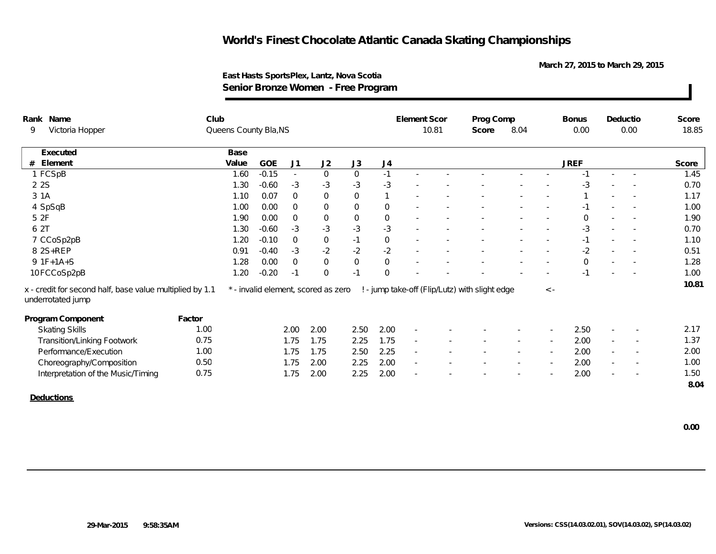**March 27, 2015 to March 29, 2015**

| Rank Name                                                                     | Club   |                       |         |                |                                     |                     |                | Element Scor             |       | Prog Comp                                      |        |             | <b>Bonus</b> |                          | Deductio                 | Score |
|-------------------------------------------------------------------------------|--------|-----------------------|---------|----------------|-------------------------------------|---------------------|----------------|--------------------------|-------|------------------------------------------------|--------|-------------|--------------|--------------------------|--------------------------|-------|
| Victoria Hopper<br>9                                                          |        | Queens County Bla, NS |         |                |                                     |                     |                |                          | 10.81 | Score                                          | 8.04   |             | 0.00         |                          | 0.00                     | 18.85 |
| Executed                                                                      |        | Base                  |         |                |                                     |                     |                |                          |       |                                                |        |             |              |                          |                          |       |
| Element<br>#                                                                  |        | Value                 | GOE     | J1             | J2                                  | J3                  | J4             |                          |       |                                                |        |             | <b>JREF</b>  |                          |                          | Score |
| 1 FCSpB                                                                       |        | 1.60                  | $-0.15$ | $\sim$         | $\overline{0}$                      | $\mathbf 0$         | $-1$           |                          |       |                                                |        |             | $-1$         |                          | $\sim$                   | 1.45  |
| 2 2 S                                                                         |        | 1.30                  | $-0.60$ | $-3$           | $-3$                                | $-3$                | $-3$           |                          |       |                                                |        |             | -3           |                          |                          | 0.70  |
| 3 1A                                                                          |        | 1.10                  | 0.07    | $\mathbf 0$    | $\mathbf 0$                         | $\mathsf{O}\xspace$ |                |                          |       |                                                |        |             |              |                          |                          | 1.17  |
| 4 SpSqB                                                                       |        | 1.00                  | 0.00    | $\mathbf 0$    | $\mathbf 0$                         | $\mathsf{O}\xspace$ | $\overline{0}$ |                          |       |                                                |        |             | $-1$         |                          |                          | 1.00  |
| 5 2F                                                                          |        | 1.90                  | 0.00    | $\mathbf 0$    | $\mathbf 0$                         | $\mathsf{O}\xspace$ | $\mathbf 0$    |                          |       |                                                |        |             | $\Omega$     | $\overline{\phantom{a}}$ |                          | 1.90  |
| 6 2T                                                                          |        | 1.30                  | $-0.60$ | $-3$           | $-3$                                | $-3$                | $-3$           |                          |       |                                                |        |             | -3           |                          |                          | 0.70  |
| 7 CCoSp2pB                                                                    |        | 1.20                  | $-0.10$ | $\overline{0}$ | $\mathbf 0$                         | $-1$                | $\mathbf 0$    |                          |       |                                                |        |             | $-1$         |                          |                          | 1.10  |
| 8 2S+REP                                                                      |        | 0.91                  | $-0.40$ | $-3$           | $-2$                                | $-2$                | $-2$           |                          |       |                                                |        |             | $-2$         | $\overline{\phantom{a}}$ |                          | 0.51  |
| $9 1F+1A+S$                                                                   |        | 1.28                  | 0.00    | $\overline{0}$ | $\mathbf{0}$                        | $\mathsf{O}\xspace$ | $\overline{0}$ |                          |       |                                                |        |             | $\mathbf{0}$ |                          |                          | 1.28  |
| 10FCCoSp2pB                                                                   |        | 1.20                  | $-0.20$ | $-1$           | $\overline{0}$                      | $-1$                | $\Omega$       |                          |       |                                                |        |             |              |                          |                          | 1.00  |
| x - credit for second half, base value multiplied by 1.1<br>underrotated jump |        |                       |         |                | * - invalid element, scored as zero |                     |                |                          |       | ! - jump take-off (Flip/Lutz) with slight edge |        | $\langle$ - |              |                          |                          | 10.81 |
| Program Component                                                             | Factor |                       |         |                |                                     |                     |                |                          |       |                                                |        |             |              |                          |                          |       |
| <b>Skating Skills</b>                                                         | 1.00   |                       |         | 2.00           | 2.00                                | 2.50                | 2.00           | $\overline{\phantom{a}}$ |       |                                                |        |             | 2.50         |                          |                          | 2.17  |
| <b>Transition/Linking Footwork</b>                                            | 0.75   |                       |         | 1.75           | 1.75                                | 2.25                | 1.75           |                          |       |                                                |        |             | 2.00         |                          |                          | 1.37  |
| Performance/Execution                                                         | 1.00   |                       |         | 1.75           | 1.75                                | 2.50                | 2.25           | $\sim$                   |       |                                                | $\sim$ | $\sim$      | 2.00         | $\sim$                   | $\overline{\phantom{a}}$ | 2.00  |
| Choreography/Composition                                                      | 0.50   |                       |         | 1.75           | 2.00                                | 2.25                | 2.00           | $\sim$                   |       |                                                |        |             | 2.00         | $\overline{\phantom{a}}$ | $\overline{\phantom{a}}$ | 1.00  |
| Interpretation of the Music/Timing                                            | 0.75   |                       |         | 1.75           | 2.00                                | 2.25                | 2.00           |                          |       |                                                |        |             | 2.00         |                          |                          | 1.50  |
|                                                                               |        |                       |         |                |                                     |                     |                |                          |       |                                                |        |             |              |                          |                          | 8.04  |
| Deductions                                                                    |        |                       |         |                |                                     |                     |                |                          |       |                                                |        |             |              |                          |                          |       |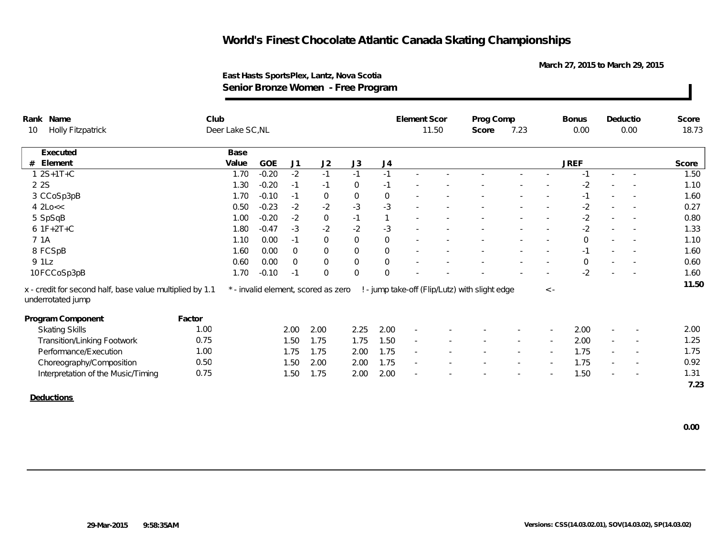**March 27, 2015 to March 29, 2015**

| Rank Name       |                                                                               | Club   |                  |            |                |                                     |                     |             | Element Scor             |       | Prog Comp                                      |        |             | <b>Bonus</b> |                          | Deductio | Score |
|-----------------|-------------------------------------------------------------------------------|--------|------------------|------------|----------------|-------------------------------------|---------------------|-------------|--------------------------|-------|------------------------------------------------|--------|-------------|--------------|--------------------------|----------|-------|
| 10              | <b>Holly Fitzpatrick</b>                                                      |        | Deer Lake SC, NL |            |                |                                     |                     |             |                          | 11.50 | Score                                          | 7.23   |             | 0.00         |                          | 0.00     | 18.73 |
|                 | Executed                                                                      |        | Base             |            |                |                                     |                     |             |                          |       |                                                |        |             |              |                          |          |       |
| #               | Element                                                                       |        | Value            | <b>GOE</b> | J <sub>1</sub> | J2                                  | J3                  | J4          |                          |       |                                                |        |             | <b>JREF</b>  |                          |          | Score |
|                 | $1 2S+1T+C$                                                                   |        | 1.70             | $-0.20$    | $-2$           | $-1$                                | $-1$                | $-1$        |                          |       |                                                |        |             | $-1$         |                          | $\sim$   | 1.50  |
| 2 2 S           |                                                                               |        | 1.30             | $-0.20$    | $-1$           | $-1$                                | $\mathbf 0$         | $-1$        |                          |       |                                                |        |             | $-2$         |                          |          | 1.10  |
|                 | 3 CCoSp3pB                                                                    |        | 1.70             | $-0.10$    | $-1$           | $\mathbf 0$                         | $\boldsymbol{0}$    | $\mathbf 0$ |                          |       |                                                |        |             | $-1$         | $\sim$                   |          | 1.60  |
| $4$ $2$ Lo $<<$ |                                                                               |        | 0.50             | $-0.23$    | $-2$           | $-2$                                | $-3$                | $-3$        |                          |       |                                                |        |             | $-2$         |                          |          | 0.27  |
|                 | 5 SpSqB                                                                       |        | 1.00             | $-0.20$    | $-2$           | $\mathbf 0$                         | $-1$                |             |                          |       |                                                |        |             | $-2$         | $\overline{\phantom{a}}$ |          | 0.80  |
|                 | $6$ 1F+2T+C                                                                   |        | 1.80             | $-0.47$    | $-3$           | $-2$                                | $-2$                | $-3$        |                          |       |                                                |        |             | $-2$         |                          |          | 1.33  |
| 7 1A            |                                                                               |        | 1.10             | 0.00       | $-1$           | $\mathbf 0$                         | $\mathsf{O}\xspace$ | $\mathbf 0$ |                          |       |                                                |        |             | $\mathbf 0$  |                          |          | 1.10  |
|                 | 8 FCSpB                                                                       |        | 1.60             | 0.00       | $\mathbf 0$    | $\mathbf 0$                         | $\overline{0}$      | $\,0\,$     |                          |       |                                                |        |             | $-1$         | $\overline{\phantom{a}}$ |          | 1.60  |
| 9 1Lz           |                                                                               |        | 0.60             | 0.00       | $\overline{0}$ | $\mathbf 0$                         | $\boldsymbol{0}$    | $\mathbf 0$ |                          |       |                                                |        |             | $\mathbf 0$  | $\overline{\phantom{a}}$ |          | 0.60  |
|                 | 10FCCoSp3pB                                                                   |        | 1.70             | $-0.10$    | $-1$           | $\overline{0}$                      | $\boldsymbol{0}$    | $\Omega$    |                          |       |                                                |        |             | $-2$         |                          |          | 1.60  |
|                 | x - credit for second half, base value multiplied by 1.1<br>underrotated jump |        |                  |            |                | * - invalid element, scored as zero |                     |             |                          |       | ! - jump take-off (Flip/Lutz) with slight edge |        | $\langle$ - |              |                          |          | 11.50 |
|                 | Program Component                                                             | Factor |                  |            |                |                                     |                     |             |                          |       |                                                |        |             |              |                          |          |       |
|                 | <b>Skating Skills</b>                                                         | 1.00   |                  |            | 2.00           | 2.00                                | 2.25                | 2.00        | $\sim$                   |       |                                                |        |             | 2.00         |                          |          | 2.00  |
|                 | <b>Transition/Linking Footwork</b>                                            | 0.75   |                  |            | 1.50           | 1.75                                | 1.75                | 1.50        | $\overline{\phantom{a}}$ |       |                                                |        |             | 2.00         | $\overline{\phantom{a}}$ |          | 1.25  |
|                 | Performance/Execution                                                         | 1.00   |                  |            | 1.75           | 1.75                                | 2.00                | 1.75        | $\overline{\phantom{a}}$ |       |                                                | $\sim$ |             | 1.75         | $\sim$                   | $\sim$   | 1.75  |
|                 | Choreography/Composition                                                      | 0.50   |                  |            | 1.50           | 2.00                                | 2.00                | 1.75        | $\overline{\phantom{a}}$ |       |                                                |        | $\sim$      | 1.75         | $\sim$                   |          | 0.92  |
|                 | Interpretation of the Music/Timing                                            | 0.75   |                  |            | 1.50           | 1.75                                | 2.00                | 2.00        |                          |       |                                                |        |             | 1.50         |                          |          | 1.31  |
|                 |                                                                               |        |                  |            |                |                                     |                     |             |                          |       |                                                |        |             |              |                          |          | 7.23  |
|                 | Deductions                                                                    |        |                  |            |                |                                     |                     |             |                          |       |                                                |        |             |              |                          |          |       |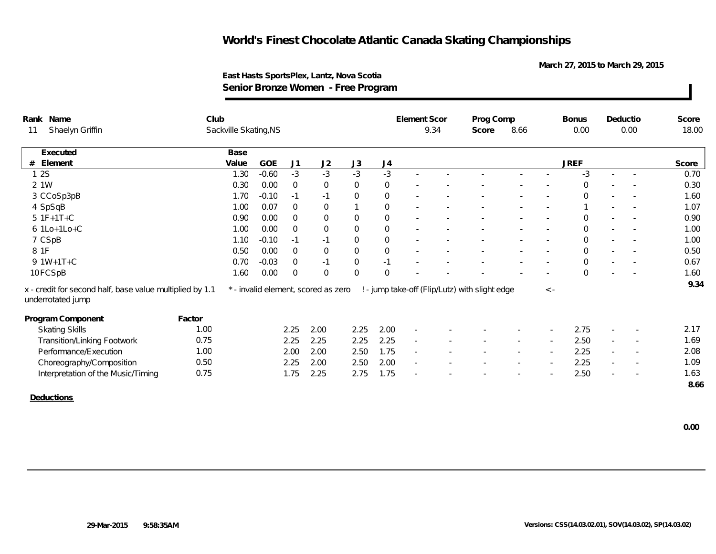**March 27, 2015 to March 29, 2015**

|       | Rank Name                                                                     | Club   |                       |         |                |                                     |                     |                | Element Scor             |      | Prog Comp                                      |        |                          | <b>Bonus</b> |        | Deductio                 | Score |
|-------|-------------------------------------------------------------------------------|--------|-----------------------|---------|----------------|-------------------------------------|---------------------|----------------|--------------------------|------|------------------------------------------------|--------|--------------------------|--------------|--------|--------------------------|-------|
| 11    | Shaelyn Griffin                                                               |        | Sackville Skating, NS |         |                |                                     |                     |                |                          | 9.34 | Score                                          | 8.66   |                          | 0.00         |        | 0.00                     | 18.00 |
|       | Executed                                                                      |        | Base                  |         |                |                                     |                     |                |                          |      |                                                |        |                          |              |        |                          |       |
| #     | Element                                                                       |        | Value                 | GOE     | J1             | J2                                  | J3                  | J4             |                          |      |                                                |        |                          | <b>JREF</b>  |        |                          | Score |
| 12S   |                                                                               |        | 1.30                  | $-0.60$ | $-3$           | $-3$                                | $-3$                | $-3$           |                          |      |                                                |        |                          | -3           | $\sim$ | $\sim$                   | 0.70  |
| 2 1 W |                                                                               |        | 0.30                  | 0.00    | $\mathbf 0$    | $\mathbf{0}$                        | $\mathbf 0$         | $\mathbf 0$    |                          |      |                                                |        |                          | $\Omega$     |        |                          | 0.30  |
|       | 3 CCoSp3pB                                                                    |        | 1.70                  | $-0.10$ | $-1$           | $-1$                                | 0                   | $\mathbf 0$    |                          |      |                                                |        |                          | $\mathbf 0$  |        |                          | 1.60  |
|       | 4 SpSqB                                                                       |        | 1.00                  | 0.07    | $\mathbf 0$    | $\mathbf 0$                         | $\mathbf{1}$        | $\overline{0}$ |                          |      |                                                |        |                          |              |        |                          | 1.07  |
|       | $51F+1T+C$                                                                    |        | 0.90                  | 0.00    | $\overline{0}$ | $\mathbf 0$                         | $\mathbf{0}$        | $\overline{0}$ |                          |      |                                                |        |                          | $\Omega$     |        |                          | 0.90  |
|       | 6 1Lo+1Lo+C                                                                   |        | 1.00                  | 0.00    | $\Omega$       | $\mathbf 0$                         | $\mathbf{0}$        | $\overline{0}$ |                          |      |                                                |        |                          | $\Omega$     |        |                          | 1.00  |
|       | 7 CSpB                                                                        |        | 1.10                  | $-0.10$ | $-1$           | $-1$                                | $\mathbf 0$         | $\mathbf 0$    |                          |      |                                                |        |                          | $\Omega$     |        |                          | 1.00  |
| 8 1F  |                                                                               |        | 0.50                  | 0.00    | $\mathbf 0$    | $\mathbf 0$                         | $\mathsf{O}\xspace$ | $\overline{0}$ |                          |      |                                                |        |                          | $\mathbf 0$  | $\sim$ | $\sim$                   | 0.50  |
|       | $9.1W+1T+C$                                                                   |        | 0.70                  | $-0.03$ | $\mathbf 0$    | $-1$                                | $\mathbf{0}$        | $-1$           |                          |      |                                                |        |                          | $\mathbf 0$  |        |                          | 0.67  |
|       | 10 FCSpB                                                                      |        | 1.60                  | 0.00    | $\Omega$       | $\overline{0}$                      | $\mathbf{0}$        | $\Omega$       |                          |      |                                                |        |                          | $\Omega$     |        |                          | 1.60  |
|       | x - credit for second half, base value multiplied by 1.1<br>underrotated jump |        |                       |         |                | * - invalid element, scored as zero |                     |                |                          |      | ! - jump take-off (Flip/Lutz) with slight edge |        | $\langle$ -              |              |        |                          | 9.34  |
|       | Program Component                                                             | Factor |                       |         |                |                                     |                     |                |                          |      |                                                |        |                          |              |        |                          |       |
|       | <b>Skating Skills</b>                                                         | 1.00   |                       |         | 2.25           | 2.00                                | 2.25                | 2.00           | $\overline{\phantom{a}}$ |      |                                                |        |                          | 2.75         |        |                          | 2.17  |
|       | <b>Transition/Linking Footwork</b>                                            | 0.75   |                       |         | 2.25           | 2.25                                | 2.25                | 2.25           | $\overline{\phantom{a}}$ |      |                                                |        |                          | 2.50         |        |                          | 1.69  |
|       | Performance/Execution                                                         | 1.00   |                       |         | 2.00           | 2.00                                | 2.50                | 1.75           | $\sim$                   |      |                                                | $\sim$ | $\overline{\phantom{a}}$ | 2.25         | $\sim$ | $\overline{\phantom{a}}$ | 2.08  |
|       | Choreography/Composition                                                      | 0.50   |                       |         | 2.25           | 2.00                                | 2.50                | 2.00           | $\sim$                   |      |                                                |        |                          | 2.25         | $\sim$ | $\overline{\phantom{a}}$ | 1.09  |
|       | Interpretation of the Music/Timing                                            | 0.75   |                       |         | 1.75           | 2.25                                | 2.75                | 1.75           |                          |      |                                                |        |                          | 2.50         |        |                          | 1.63  |
|       |                                                                               |        |                       |         |                |                                     |                     |                |                          |      |                                                |        |                          |              |        |                          | 8.66  |
|       | Deductions                                                                    |        |                       |         |                |                                     |                     |                |                          |      |                                                |        |                          |              |        |                          |       |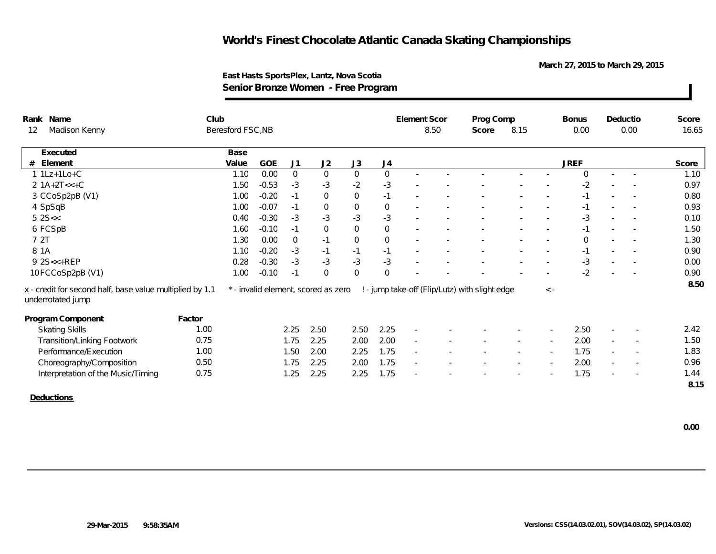**March 27, 2015 to March 29, 2015**

### **East Hasts SportsPlex, Lantz, Nova Scotia Senior Bronze Women - Free Program**

| Rank Name       |                                                                               | Club   |                   |            |                |                                     |                     |                | Element Scor             |      | Prog Comp                                      |        |             | <b>Bonus</b> |                          | Deductio                 | Score |
|-----------------|-------------------------------------------------------------------------------|--------|-------------------|------------|----------------|-------------------------------------|---------------------|----------------|--------------------------|------|------------------------------------------------|--------|-------------|--------------|--------------------------|--------------------------|-------|
| 12              | Madison Kenny                                                                 |        | Beresford FSC, NB |            |                |                                     |                     |                |                          | 8.50 | Score                                          | 8.15   |             | 0.00         |                          | 0.00                     | 16.65 |
|                 | Executed                                                                      |        | Base              |            |                |                                     |                     |                |                          |      |                                                |        |             |              |                          |                          |       |
| # Element       |                                                                               |        | Value             | <b>GOE</b> | J <sub>1</sub> | J2                                  | J3                  | J4             |                          |      |                                                |        |             | <b>JREF</b>  |                          |                          | Score |
| $1$ 1 Lz+1 Lo+C |                                                                               |        | 1.10              | 0.00       | $\overline{0}$ | $\overline{0}$                      | $\mathsf{O}$        | $\overline{0}$ |                          |      |                                                |        |             | $\Omega$     |                          |                          | 1.10  |
|                 | $2 1A+2T<<+C$                                                                 |        | 1.50              | $-0.53$    | $-3$           | $-3$                                | $-2$                | $-3$           |                          |      |                                                |        |             | $-2$         |                          |                          | 0.97  |
|                 | 3 CCoSp2pB (V1)                                                               |        | 1.00              | $-0.20$    | $-1$           | $\mathbf 0$                         | $\mathsf{O}$        | $-1$           |                          |      |                                                |        |             | $-1$         | $\sim$                   |                          | 0.80  |
| 4 SpSqB         |                                                                               |        | 1.00              | $-0.07$    | $-1$           | $\mathbf 0$                         | $\mathsf{O}\xspace$ | $\mathbf 0$    |                          |      |                                                |        |             | $-1$         |                          |                          | 0.93  |
| $5$ 2S $<$      |                                                                               |        | 0.40              | $-0.30$    | $-3$           | $-3$                                | $-3$                | $-3$           |                          |      |                                                |        |             | -3           |                          |                          | 0.10  |
| 6 FCSpB         |                                                                               |        | 1.60              | $-0.10$    | $-1$           | $\overline{0}$                      | $\overline{0}$      | $\overline{0}$ |                          |      |                                                |        |             | $-1$         |                          |                          | 1.50  |
| 7 2T            |                                                                               |        | 1.30              | 0.00       | $\overline{0}$ | $-1$                                | $\overline{0}$      | $\mathbf 0$    |                          |      |                                                |        |             | $\mathbf 0$  |                          |                          | 1.30  |
| 8 1 A           |                                                                               |        | 1.10              | $-0.20$    | $-3$           | $-1$                                | $-1$                | $-1$           |                          |      |                                                |        |             | $-1$         | $\overline{\phantom{a}}$ |                          | 0.90  |
| 9 2S<<+REP      |                                                                               |        | 0.28              | $-0.30$    | $-3$           | $-3$                                | $-3$                | $-3$           |                          |      |                                                |        |             | -3           |                          |                          | 0.00  |
|                 | 10 FCCoSp2pB (V1)                                                             |        | 1.00              | $-0.10$    | $-1$           | $\Omega$                            | $\overline{0}$      | $\Omega$       |                          |      |                                                |        |             | $-2$         |                          |                          | 0.90  |
|                 | x - credit for second half, base value multiplied by 1.1<br>underrotated jump |        |                   |            |                | * - invalid element, scored as zero |                     |                |                          |      | ! - jump take-off (Flip/Lutz) with slight edge |        | $\langle$ - |              |                          |                          | 8.50  |
|                 | Program Component                                                             | Factor |                   |            |                |                                     |                     |                |                          |      |                                                |        |             |              |                          |                          |       |
|                 | <b>Skating Skills</b>                                                         | 1.00   |                   |            | 2.25           | 2.50                                | 2.50                | 2.25           | $\sim$                   |      |                                                |        |             | 2.50         |                          |                          | 2.42  |
|                 | <b>Transition/Linking Footwork</b>                                            | 0.75   |                   |            | 1.75           | 2.25                                | 2.00                | 2.00           | $\overline{\phantom{a}}$ |      |                                                |        |             | 2.00         | $\overline{\phantom{a}}$ |                          | 1.50  |
|                 | Performance/Execution                                                         | 1.00   |                   |            | 1.50           | 2.00                                | 2.25                | 1.75           | $\overline{\phantom{a}}$ |      |                                                | $\sim$ | $\sim$      | 1.75         | $\sim$                   | $\overline{\phantom{a}}$ | 1.83  |
|                 | Choreography/Composition                                                      | 0.50   |                   |            | 1.75           | 2.25                                | 2.00                | 1.75           | $\overline{\phantom{a}}$ |      |                                                |        | $\sim$      | 2.00         | $\sim$                   |                          | 0.96  |
|                 | Interpretation of the Music/Timing                                            | 0.75   |                   |            | 1.25           | 2.25                                | 2.25                | 1.75           |                          |      |                                                |        |             | 1.75         |                          |                          | 1.44  |
|                 |                                                                               |        |                   |            |                |                                     |                     |                |                          |      |                                                |        |             |              |                          |                          | 8.15  |
| Deductions      |                                                                               |        |                   |            |                |                                     |                     |                |                          |      |                                                |        |             |              |                          |                          |       |

 **0.00**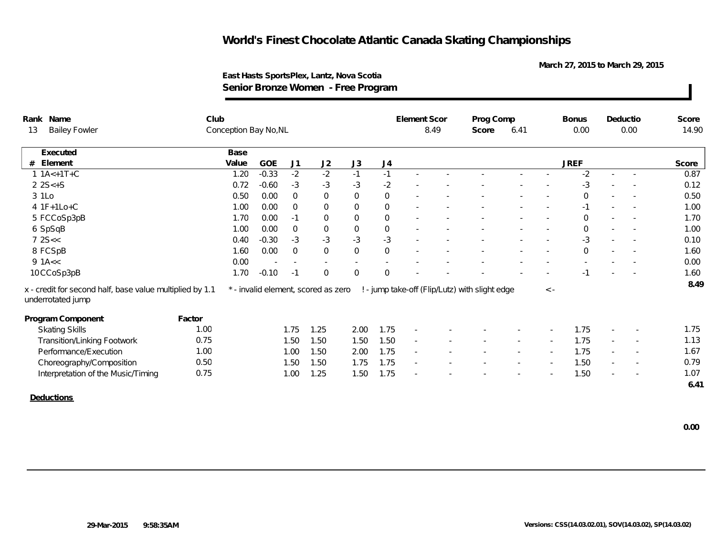**March 27, 2015 to March 29, 2015**

|                                                                               | Senior Bronze Women - Free Program |       |         |                |                                     |                     |                |           |      |                                                |              |             |             |                          |                          |       |
|-------------------------------------------------------------------------------|------------------------------------|-------|---------|----------------|-------------------------------------|---------------------|----------------|-----------|------|------------------------------------------------|--------------|-------------|-------------|--------------------------|--------------------------|-------|
| Rank Name                                                                     | Club                               |       |         |                |                                     | <b>Element Scor</b> |                | Prog Comp |      |                                                | <b>Bonus</b> | Deductio    |             | Score                    |                          |       |
| <b>Bailey Fowler</b><br>13                                                    | Conception Bay No, NL              |       |         |                |                                     |                     |                |           | 8.49 | 6.41<br>Score                                  |              |             | 0.00        | 0.00                     |                          | 14.90 |
| Executed                                                                      |                                    | Base  |         |                |                                     |                     |                |           |      |                                                |              |             |             |                          |                          |       |
| Element                                                                       |                                    | Value | GOE     | J <sub>1</sub> | J2                                  | J3                  | J <sub>4</sub> |           |      |                                                |              |             | <b>JREF</b> |                          |                          | Score |
| $1.1A<+1T+C$                                                                  |                                    | 1.20  | $-0.33$ | $-2$           | $-2$                                | $-1$                | $-1$           |           |      |                                                |              |             | $-2$        | ×.                       | $\sim$                   | 0.87  |
| $22S<+S$                                                                      |                                    | 0.72  | $-0.60$ | $-3$           | $-3$                                | $-3$                | $-2$           |           |      |                                                |              |             | $-3$        |                          |                          | 0.12  |
| 3 1Lo                                                                         |                                    | 0.50  | 0.00    | $\mathbf{0}$   | $\,0\,$                             | 0                   | 0              |           |      |                                                |              |             | $\Omega$    | $\sim$                   |                          | 0.50  |
| 4 1F+1Lo+C                                                                    |                                    | 1.00  | 0.00    | $\Omega$       | $\overline{0}$                      | 0                   | $\overline{0}$ |           |      |                                                |              | $\sim$      | $-1$        | $\sim$                   | $\sim$                   | 1.00  |
| 5 FCCoSp3pB                                                                   |                                    | 1.70  | 0.00    | $-1$           | $\mathbf{0}$                        | 0                   | $\mathbf{0}$   |           |      |                                                |              |             | 0           |                          |                          | 1.70  |
| 6 SpSqB                                                                       |                                    | 1.00  | 0.00    | $\mathbf{0}$   | $\mathbf 0$                         | 0                   | 0              |           |      |                                                |              |             | $\Omega$    |                          |                          | 1.00  |
| 72S <                                                                         |                                    | 0.40  | $-0.30$ | $-3$           | $-3$                                | $-3$                | $-3$           |           |      |                                                |              |             | $-3$        |                          | $\overline{\phantom{a}}$ | 0.10  |
| 8 FCSpB                                                                       |                                    | 1.60  | 0.00    | $\overline{0}$ | $\mathbf 0$                         | $\boldsymbol{0}$    | $\overline{O}$ |           |      |                                                |              |             | $\Omega$    |                          |                          | 1.60  |
| 9 $1A<<$                                                                      |                                    | 0.00  |         | $\sim$         |                                     | $\sim$              |                |           |      |                                                |              |             |             |                          |                          | 0.00  |
| 10 CCoSp3pB                                                                   |                                    | 1.70  | $-0.10$ | $-1$           | $\mathbf{0}$                        | 0                   | $\overline{O}$ |           |      |                                                |              |             | $-1$        | $\overline{\phantom{a}}$ | $\sim$                   | 1.60  |
| x - credit for second half, base value multiplied by 1.1<br>underrotated jump |                                    |       |         |                | * - invalid element, scored as zero |                     |                |           |      | ! - jump take-off (Flip/Lutz) with slight edge |              | $\langle -$ |             |                          |                          | 8.49  |
| Program Component                                                             | Factor                             |       |         |                |                                     |                     |                |           |      |                                                |              |             |             |                          |                          |       |
| <b>Skating Skills</b>                                                         | 1.00                               |       |         | 1.75           | 1.25                                | 2.00                | 1.75           |           |      |                                                |              |             | 1.75        |                          |                          | 1.75  |
| Transition/Linking Footwork                                                   | 0.75                               |       |         | 1.50           | 1.50                                | 1.50                | 1.50           | $\sim$    |      |                                                | $\sim$       | $\sim$      | 1.75        | $\overline{\phantom{a}}$ | $\sim$                   | 1.13  |
| Performance/Execution                                                         | 1.00                               |       |         | 1.00           | 1.50                                | 2.00                | 1.75           |           |      |                                                |              |             | 1.75        |                          |                          | 1.67  |
| Choreography/Composition                                                      | 0.50                               |       |         | 1.50           | 1.50                                | 1.75                | 1.75           |           |      |                                                |              |             | 1.50        |                          |                          | 0.79  |
| Interpretation of the Music/Timing                                            | 0.75                               |       |         | 1.00           | 1.25                                | 1.50                | 1.75           | $\sim$    |      |                                                |              |             | 1.50        | $\sim$                   | $\overline{\phantom{a}}$ | 1.07  |
|                                                                               |                                    |       |         |                |                                     |                     |                |           |      |                                                |              |             |             |                          |                          | 6.41  |
|                                                                               |                                    |       |         |                |                                     |                     |                |           |      |                                                |              |             |             |                          |                          |       |

#### **East Hasts SportsPlex, Lantz, Nova Scotia Senior Bronze Women - Free Program**

**Deductions**

 **0.00**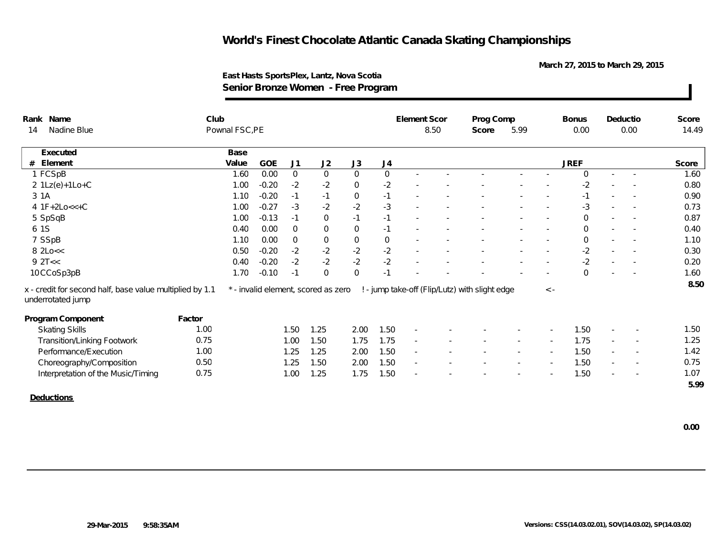**March 27, 2015 to March 29, 2015**

| Rank Name                                                                     | Club   |                |         |                |                                     |                |                  | <b>Element Scor</b>      |       | Prog Comp                                      |        |          | <b>Bonus</b> |                          | Deductio                 | Score |
|-------------------------------------------------------------------------------|--------|----------------|---------|----------------|-------------------------------------|----------------|------------------|--------------------------|-------|------------------------------------------------|--------|----------|--------------|--------------------------|--------------------------|-------|
| Nadine Blue<br>14                                                             |        | Pownal FSC, PE |         |                |                                     |                |                  | 8.50                     | Score | 5.99                                           |        | 0.00     | 0.00         |                          | 14.49                    |       |
| Executed                                                                      |        | Base           |         |                |                                     |                |                  |                          |       |                                                |        |          |              |                          |                          |       |
| Element<br>#                                                                  |        | Value          | GOE     | J1             | J2                                  | J3             | J4               |                          |       |                                                |        |          | <b>JREF</b>  |                          |                          | Score |
| 1 FCSpB                                                                       |        | 1.60           | 0.00    | $\overline{0}$ | $\mathbf 0$                         | $\mathbf 0$    | $\mathbf{0}$     |                          |       |                                                |        |          | $\Omega$     |                          | $\sim$                   | 1.60  |
| $2 1Lz(e)+1Lo+C$                                                              |        | 1.00           | $-0.20$ | $-2$           | $-2$                                | $\overline{0}$ | $-2$             |                          |       |                                                |        |          | $-2$         |                          |                          | 0.80  |
| 3 1 A                                                                         |        | 1.10           | $-0.20$ | $-1$           | $-1$                                | $\,0\,$        | $-1$             |                          |       |                                                |        |          | $-1$         | $\sim$                   |                          | 0.90  |
| $4 1F+2Lo<<+C$                                                                |        | 1.00           | $-0.27$ | $-3$           | $-2$                                | $-2$           | $-3$             |                          |       |                                                |        |          | $-3$         |                          |                          | 0.73  |
| 5 SpSqB                                                                       |        | 1.00           | $-0.13$ | $-1$           | $\mathbf 0$                         | $-1$           | $-1$             |                          |       |                                                |        |          | $\Omega$     | $\overline{\phantom{a}}$ |                          | 0.87  |
| 6 1S                                                                          |        | 0.40           | 0.00    | $\Omega$       | $\mathbf 0$                         | $\mathbf 0$    | $-1$             |                          |       |                                                |        |          | $\Omega$     |                          |                          | 0.40  |
| 7 SSpB                                                                        |        | 1.10           | 0.00    | $\overline{0}$ | $\mathsf{O}\xspace$                 | $\mathbf 0$    | $\boldsymbol{0}$ |                          |       |                                                |        |          | $\mathbf 0$  |                          |                          | 1.10  |
| 8 2Lo<<                                                                       |        | 0.50           | $-0.20$ | $-2$           | $-2$                                | $-2$           | $-2$             |                          |       |                                                |        |          | $-2$         | $\sim$                   |                          | 0.30  |
| 92T<<                                                                         |        | 0.40           | $-0.20$ | $-2$           | $-2$                                | $-2$           | $-2$             |                          |       |                                                |        |          | $-2$         | $\sim$                   |                          | 0.20  |
| 10CCoSp3pB                                                                    |        | 1.70           | $-0.10$ | $-1$           | $\overline{0}$                      | $\overline{0}$ | $-1$             |                          |       |                                                |        |          | $\Omega$     |                          |                          | 1.60  |
| x - credit for second half, base value multiplied by 1.1<br>underrotated jump |        |                |         |                | * - invalid element, scored as zero |                |                  |                          |       | ! - jump take-off (Flip/Lutz) with slight edge |        | $\leq$ - |              |                          |                          | 8.50  |
| Program Component                                                             | Factor |                |         |                |                                     |                |                  |                          |       |                                                |        |          |              |                          |                          |       |
| <b>Skating Skills</b>                                                         | 1.00   |                |         | 1.50           | 1.25                                | 2.00           | 1.50             | $\overline{\phantom{a}}$ |       |                                                |        |          | 1.50         |                          |                          | 1.50  |
| <b>Transition/Linking Footwork</b>                                            | 0.75   |                |         | 1.00           | 1.50                                | 1.75           | 1.75             |                          |       |                                                |        |          | 1.75         |                          |                          | 1.25  |
| Performance/Execution                                                         | 1.00   |                |         | 1.25           | 1.25                                | 2.00           | 1.50             | $\sim$                   |       |                                                | $\sim$ | $\sim$   | 1.50         | $\sim$                   | $\overline{\phantom{a}}$ | 1.42  |
| Choreography/Composition                                                      | 0.50   |                |         | 1.25           | 1.50                                | 2.00           | 1.50             | $\sim$                   |       |                                                |        |          | 1.50         |                          | $\overline{\phantom{a}}$ | 0.75  |
| Interpretation of the Music/Timing                                            | 0.75   |                |         | 1.00           | 1.25                                | 1.75           | 1.50             |                          |       |                                                |        |          | 1.50         |                          |                          | 1.07  |
|                                                                               |        |                |         |                |                                     |                |                  |                          |       |                                                |        |          |              |                          |                          | 5.99  |
| <b>Deductions</b>                                                             |        |                |         |                |                                     |                |                  |                          |       |                                                |        |          |              |                          |                          |       |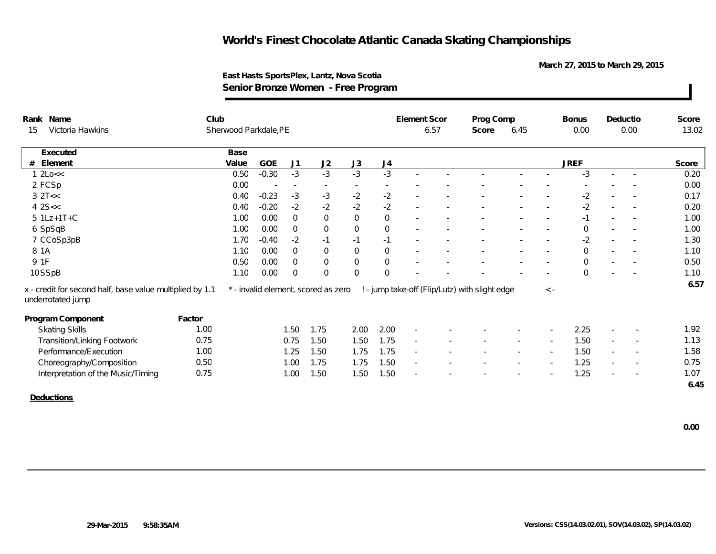**March 27, 2015 to March 29, 2015**

| Rank Name                                                                     | Club   |                       |         |                |                                     |              |                | Element Scor |  | Prog Comp                                      |        |          | <b>Bonus</b>   |                          | Deductio                 | Score |
|-------------------------------------------------------------------------------|--------|-----------------------|---------|----------------|-------------------------------------|--------------|----------------|--------------|--|------------------------------------------------|--------|----------|----------------|--------------------------|--------------------------|-------|
| Victoria Hawkins<br>15                                                        |        | Sherwood Parkdale, PE |         |                |                                     |              | 6.57           |              |  | 6.45<br>Score                                  |        | 0.00     | 0.00           |                          | 13.02                    |       |
| Executed                                                                      |        | Base                  |         |                |                                     |              |                |              |  |                                                |        |          |                |                          |                          |       |
| Element<br>#                                                                  |        | Value                 | GOE     | J1             | J2                                  | J3           | J <sub>4</sub> |              |  |                                                |        |          | <b>JREF</b>    |                          |                          | Score |
| 12Lo<<                                                                        |        | 0.50                  | $-0.30$ | $-3$           | $-3$                                | $-3$         | $-3$           |              |  |                                                |        |          | $-3$           |                          |                          | 0.20  |
| 2 FCSp                                                                        |        | 0.00                  |         | $\sim$         | $\overline{\phantom{a}}$            |              |                |              |  |                                                |        |          |                |                          |                          | 0.00  |
| $3$ $2$ T<<                                                                   |        | 0.40                  | $-0.23$ | $-3$           | $-3$                                | $-2$         | $-2$           |              |  |                                                |        |          | $-2$           |                          |                          | 0.17  |
| $4$ 2S $<$                                                                    |        | 0.40                  | $-0.20$ | $-2$           | $-2$                                | $-2$         | $-2$           | $\sim$       |  |                                                |        |          | $-2$           | $\overline{\phantom{a}}$ |                          | 0.20  |
| $5$ 1Lz+1T+C                                                                  |        | 1.00                  | 0.00    | $\overline{0}$ | $\overline{0}$                      | $\mathbf 0$  | $\mathbf 0$    |              |  |                                                |        |          | $-1$           | $\sim$                   |                          | 1.00  |
| 6 SpSqB                                                                       |        | 1.00                  | 0.00    | $\overline{0}$ | $\mathbf 0$                         | $\mathsf{O}$ | $\mathbf{0}$   |              |  |                                                |        |          | $\mathbf 0$    |                          | $\sim$                   | 1.00  |
| 7 CCoSp3pB                                                                    |        | 1.70                  | $-0.40$ | $-2$           | $-1$                                | $-1$         | $-1$           |              |  |                                                |        |          | $-2$           |                          |                          | 1.30  |
| 8 1 A                                                                         |        | 1.10                  | 0.00    | $\overline{0}$ | $\overline{0}$                      | $\mathbf 0$  | $\mathbf 0$    |              |  |                                                |        |          | $\overline{0}$ | $\sim$                   | $\sim$                   | 1.10  |
| 9 1F                                                                          |        | 0.50                  | 0.00    | $\overline{0}$ | $\mathsf{O}\xspace$                 | $\mathbf 0$  | $\mathbf 0$    |              |  |                                                |        |          | $\Omega$       | $\sim$                   |                          | 0.50  |
| 10 SSpB                                                                       |        | 1.10                  | 0.00    | $\mathbf 0$    | $\mathbf{0}$                        | $\mathbf 0$  | $\mathbf{0}$   |              |  |                                                |        |          | $\Omega$       |                          |                          | 1.10  |
| x - credit for second half, base value multiplied by 1.1<br>underrotated jump |        |                       |         |                | * - invalid element, scored as zero |              |                |              |  | ! - jump take-off (Flip/Lutz) with slight edge |        | $\leq$ - |                |                          |                          | 6.57  |
| Program Component                                                             | Factor |                       |         |                |                                     |              |                |              |  |                                                |        |          |                |                          |                          |       |
| <b>Skating Skills</b>                                                         | 1.00   |                       |         | 1.50           | 1.75                                | 2.00         | 2.00           |              |  |                                                |        |          | 2.25           |                          |                          | 1.92  |
| <b>Transition/Linking Footwork</b>                                            | 0.75   |                       |         | 0.75           | 1.50                                | 1.50         | 1.75           |              |  |                                                |        |          | 1.50           | $\overline{\phantom{a}}$ |                          | 1.13  |
| Performance/Execution                                                         | 1.00   |                       |         | 1.25           | 1.50                                | 1.75         | 1.75           | $\sim$       |  |                                                | $\sim$ | $\sim$   | 1.50           | $\sim$                   | $\overline{\phantom{a}}$ | 1.58  |
| Choreography/Composition                                                      | 0.50   |                       |         | 1.00           | 1.75                                | 1.75         | 1.50           | $\sim$       |  |                                                |        |          | 1.25           | $\sim$                   | $\overline{\phantom{a}}$ | 0.75  |
| Interpretation of the Music/Timing                                            | 0.75   |                       |         | 1.00           | 1.50                                | 1.50         | 1.50           |              |  |                                                |        |          | 1.25           |                          |                          | 1.07  |
|                                                                               |        |                       |         |                |                                     |              |                |              |  |                                                |        |          |                |                          |                          | 6.45  |
| <b>Deductions</b>                                                             |        |                       |         |                |                                     |              |                |              |  |                                                |        |          |                |                          |                          |       |